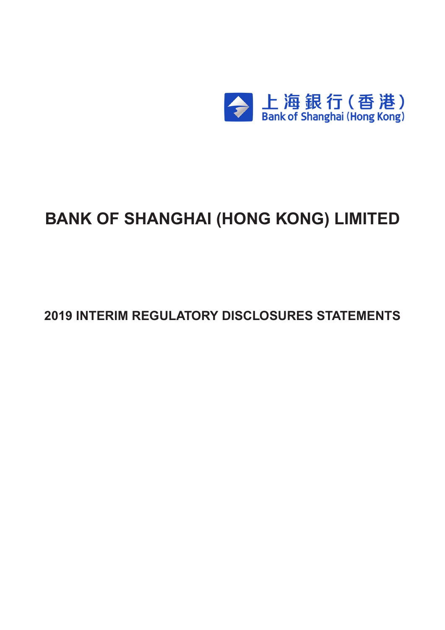

# **BANK OF SHANGHAI (HONG KONG) LIMITED**

**2019 INTERIM REGULATORY DISCLOSURES STATEMENTS**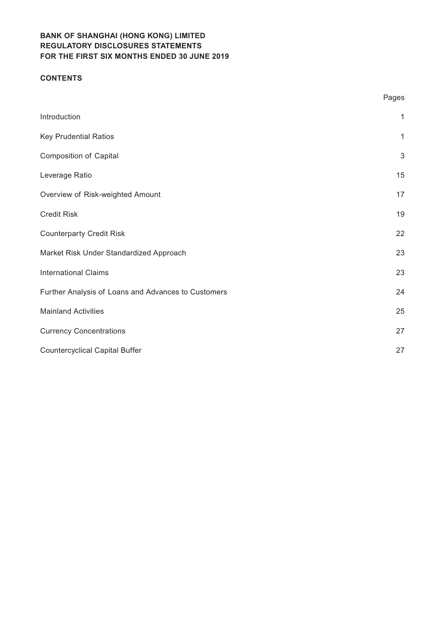#### **CONTENTS**

|                                                     | Pages        |
|-----------------------------------------------------|--------------|
| Introduction                                        | $\mathbf{1}$ |
| <b>Key Prudential Ratios</b>                        | $\mathbf{1}$ |
| <b>Composition of Capital</b>                       | $\sqrt{3}$   |
| Leverage Ratio                                      | 15           |
| Overview of Risk-weighted Amount                    | 17           |
| <b>Credit Risk</b>                                  | 19           |
| <b>Counterparty Credit Risk</b>                     | 22           |
| Market Risk Under Standardized Approach             | 23           |
| <b>International Claims</b>                         | 23           |
| Further Analysis of Loans and Advances to Customers | 24           |
| <b>Mainland Activities</b>                          | 25           |
| <b>Currency Concentrations</b>                      | 27           |
| <b>Countercyclical Capital Buffer</b>               | 27           |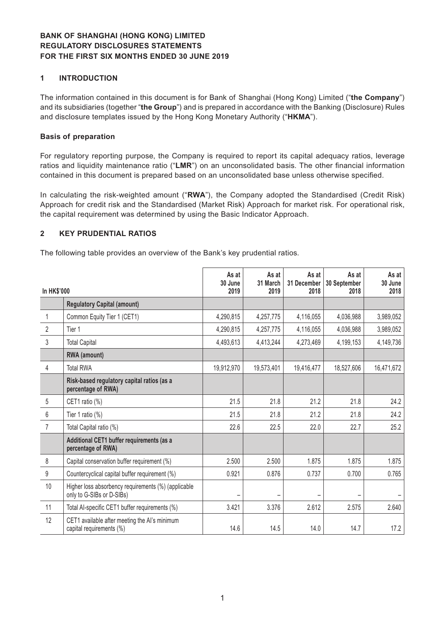#### **1 INTRODUCTION**

The information contained in this document is for Bank of Shanghai (Hong Kong) Limited ("**the Company**") and its subsidiaries (together "**the Group**") and is prepared in accordance with the Banking (Disclosure) Rules and disclosure templates issued by the Hong Kong Monetary Authority ("**HKMA**").

#### **Basis of preparation**

For regulatory reporting purpose, the Company is required to report its capital adequacy ratios, leverage ratios and liquidity maintenance ratio ("**LMR**") on an unconsolidated basis. The other financial information contained in this document is prepared based on an unconsolidated base unless otherwise specified.

In calculating the risk-weighted amount ("**RWA**"), the Company adopted the Standardised (Credit Risk) Approach for credit risk and the Standardised (Market Risk) Approach for market risk. For operational risk, the capital requirement was determined by using the Basic Indicator Approach.

#### **2 KEY PRUDENTIAL RATIOS**

The following table provides an overview of the Bank's key prudential ratios.

| In HK\$'000      |                                                                                  | As at<br>30 June<br>2019 | As at<br>31 March<br>2019 | As at<br>31 December<br>2018 | As at<br>30 September<br>2018 | As at<br>30 June<br>2018 |
|------------------|----------------------------------------------------------------------------------|--------------------------|---------------------------|------------------------------|-------------------------------|--------------------------|
|                  | <b>Regulatory Capital (amount)</b>                                               |                          |                           |                              |                               |                          |
| 1                | Common Equity Tier 1 (CET1)                                                      | 4,290,815                | 4,257,775                 | 4,116,055                    | 4,036,988                     | 3,989,052                |
| $\overline{2}$   | Tier 1                                                                           | 4,290,815                | 4,257,775                 | 4,116,055                    | 4,036,988                     | 3,989,052                |
| 3                | <b>Total Capital</b>                                                             | 4,493,613                | 4,413,244                 | 4,273,469                    | 4,199,153                     | 4,149,736                |
|                  | RWA (amount)                                                                     |                          |                           |                              |                               |                          |
| 4                | <b>Total RWA</b>                                                                 | 19,912,970               | 19,573,401                | 19,416,477                   | 18,527,606                    | 16,471,672               |
|                  | Risk-based regulatory capital ratios (as a<br>percentage of RWA)                 |                          |                           |                              |                               |                          |
| 5                | CET1 ratio (%)                                                                   | 21.5                     | 21.8                      | 21.2                         | 21.8                          | 24.2                     |
| 6                | Tier 1 ratio $(\%)$                                                              | 21.5                     | 21.8                      | 21.2                         | 21.8                          | 24.2                     |
| $\overline{7}$   | Total Capital ratio (%)                                                          | 22.6                     | 22.5                      | 22.0                         | 22.7                          | 25.2                     |
|                  | Additional CET1 buffer requirements (as a<br>percentage of RWA)                  |                          |                           |                              |                               |                          |
| 8                | Capital conservation buffer requirement (%)                                      | 2.500                    | 2.500                     | 1.875                        | 1.875                         | 1.875                    |
| $\boldsymbol{9}$ | Countercyclical capital buffer requirement (%)                                   | 0.921                    | 0.876                     | 0.737                        | 0.700                         | 0.765                    |
| 10               | Higher loss absorbency requirements (%) (applicable<br>only to G-SIBs or D-SIBs) |                          |                           |                              |                               |                          |
| 11               | Total Al-specific CET1 buffer requirements (%)                                   | 3.421                    | 3.376                     | 2.612                        | 2.575                         | 2.640                    |
| 12               | CET1 available after meeting the AI's minimum<br>capital requirements (%)        | 14.6                     | 14.5                      | 14.0                         | 14.7                          | 17.2                     |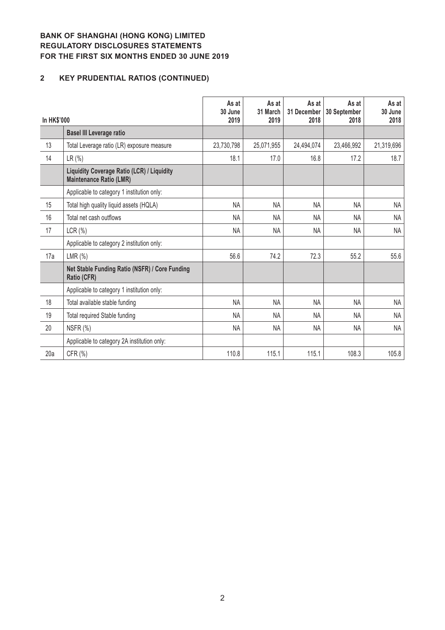# **2 KEY PRUDENTIAL RATIOS (CONTINUED)**

| In HK\$'000 |                                                                              | As at<br>30 June<br>2019 | As at<br>31 March<br>2019 | As at<br>31 December<br>2018 | As at<br>30 September<br>2018 | As at<br>30 June<br>2018 |
|-------------|------------------------------------------------------------------------------|--------------------------|---------------------------|------------------------------|-------------------------------|--------------------------|
|             | <b>Basel III Leverage ratio</b>                                              |                          |                           |                              |                               |                          |
| 13          | Total Leverage ratio (LR) exposure measure                                   | 23,730,798               | 25,071,955                | 24,494,074                   | 23,466,992                    | 21,319,696               |
| 14          | LR(%)                                                                        | 18.1                     | 17.0                      | 16.8                         | 17.2                          | 18.7                     |
|             | Liquidity Coverage Ratio (LCR) / Liquidity<br><b>Maintenance Ratio (LMR)</b> |                          |                           |                              |                               |                          |
|             | Applicable to category 1 institution only:                                   |                          |                           |                              |                               |                          |
| 15          | Total high quality liquid assets (HQLA)                                      | <b>NA</b>                | <b>NA</b>                 | <b>NA</b>                    | <b>NA</b>                     | NA                       |
| 16          | Total net cash outflows                                                      | NA                       | <b>NA</b>                 | <b>NA</b>                    | <b>NA</b>                     | <b>NA</b>                |
| 17          | LCR(%)                                                                       | <b>NA</b>                | <b>NA</b>                 | <b>NA</b>                    | <b>NA</b>                     | <b>NA</b>                |
|             | Applicable to category 2 institution only:                                   |                          |                           |                              |                               |                          |
| 17a         | LMR $(\%)$                                                                   | 56.6                     | 74.2                      | 72.3                         | 55.2                          | 55.6                     |
|             | Net Stable Funding Ratio (NSFR) / Core Funding<br>Ratio (CFR)                |                          |                           |                              |                               |                          |
|             | Applicable to category 1 institution only:                                   |                          |                           |                              |                               |                          |
| 18          | Total available stable funding                                               | <b>NA</b>                | <b>NA</b>                 | <b>NA</b>                    | <b>NA</b>                     | <b>NA</b>                |
| 19          | Total required Stable funding                                                | <b>NA</b>                | <b>NA</b>                 | <b>NA</b>                    | <b>NA</b>                     | <b>NA</b>                |
| 20          | NSFR (%)                                                                     | <b>NA</b>                | <b>NA</b>                 | <b>NA</b>                    | NA                            | <b>NA</b>                |
|             | Applicable to category 2A institution only:                                  |                          |                           |                              |                               |                          |
| 20a         | CFR (%)                                                                      | 110.8                    | 115.1                     | 115.1                        | 108.3                         | 105.8                    |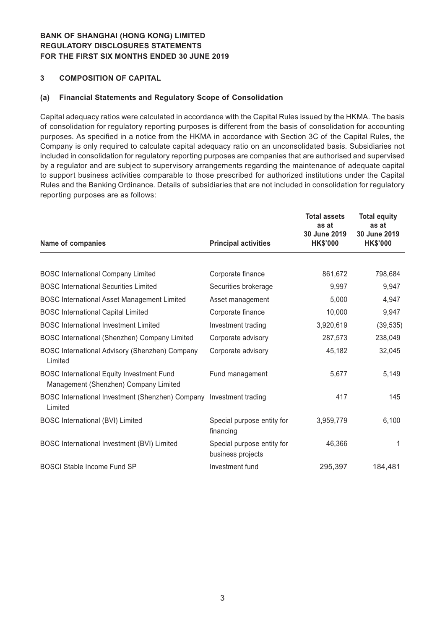#### **3 COMPOSITION OF CAPITAL**

#### **(a) Financial Statements and Regulatory Scope of Consolidation**

Capital adequacy ratios were calculated in accordance with the Capital Rules issued by the HKMA. The basis of consolidation for regulatory reporting purposes is different from the basis of consolidation for accounting purposes. As specified in a notice from the HKMA in accordance with Section 3C of the Capital Rules, the Company is only required to calculate capital adequacy ratio on an unconsolidated basis. Subsidiaries not included in consolidation for regulatory reporting purposes are companies that are authorised and supervised by a regulator and are subject to supervisory arrangements regarding the maintenance of adequate capital to support business activities comparable to those prescribed for authorized institutions under the Capital Rules and the Banking Ordinance. Details of subsidiaries that are not included in consolidation for regulatory reporting purposes are as follows:

| <b>Name of companies</b>                                                                  | <b>Principal activities</b>                     | <b>Total assets</b><br>as at<br>30 June 2019<br><b>HK\$'000</b> | <b>Total equity</b><br>as at<br>30 June 2019<br><b>HK\$'000</b> |
|-------------------------------------------------------------------------------------------|-------------------------------------------------|-----------------------------------------------------------------|-----------------------------------------------------------------|
|                                                                                           |                                                 |                                                                 |                                                                 |
| <b>BOSC International Company Limited</b>                                                 | Corporate finance                               | 861,672                                                         | 798,684                                                         |
| <b>BOSC International Securities Limited</b>                                              | Securities brokerage                            | 9,997                                                           | 9,947                                                           |
| <b>BOSC International Asset Management Limited</b>                                        | Asset management                                | 5,000                                                           | 4,947                                                           |
| <b>BOSC International Capital Limited</b>                                                 | Corporate finance                               | 10,000                                                          | 9,947                                                           |
| <b>BOSC International Investment Limited</b>                                              | Investment trading                              | 3,920,619                                                       | (39, 535)                                                       |
| BOSC International (Shenzhen) Company Limited                                             | Corporate advisory                              | 287,573                                                         | 238,049                                                         |
| BOSC International Advisory (Shenzhen) Company<br>Limited                                 | Corporate advisory                              | 45,182                                                          | 32,045                                                          |
| <b>BOSC International Equity Investment Fund</b><br>Management (Shenzhen) Company Limited | Fund management                                 | 5,677                                                           | 5,149                                                           |
| BOSC International Investment (Shenzhen) Company Investment trading<br>Limited            |                                                 | 417                                                             | 145                                                             |
| <b>BOSC International (BVI) Limited</b>                                                   | Special purpose entity for<br>financing         | 3,959,779                                                       | 6,100                                                           |
| BOSC International Investment (BVI) Limited                                               | Special purpose entity for<br>business projects | 46,366                                                          | 1                                                               |
| <b>BOSCI Stable Income Fund SP</b>                                                        | Investment fund                                 | 295,397                                                         | 184,481                                                         |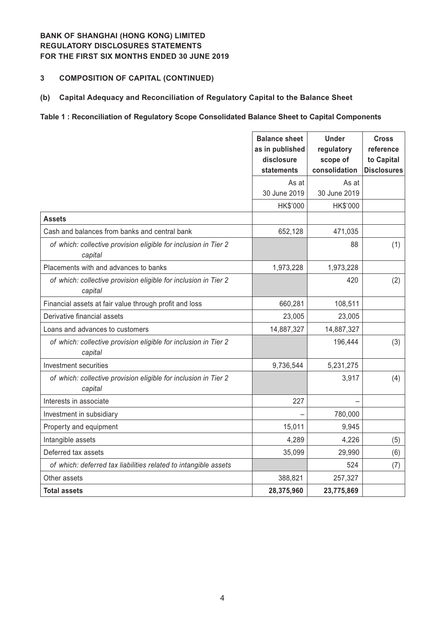## **3 COMPOSITION OF CAPITAL (CONTINUED)**

#### **(b) Capital Adequacy and Reconciliation of Regulatory Capital to the Balance Sheet**

#### **Table 1 : Reconciliation of Regulatory Scope Consolidated Balance Sheet to Capital Components**

|                                                                            | <b>Balance sheet</b><br>as in published<br>disclosure<br>statements | <b>Under</b><br>regulatory<br>scope of<br>consolidation | <b>Cross</b><br>reference<br>to Capital<br><b>Disclosures</b> |
|----------------------------------------------------------------------------|---------------------------------------------------------------------|---------------------------------------------------------|---------------------------------------------------------------|
|                                                                            | As at<br>30 June 2019                                               | As at<br>30 June 2019                                   |                                                               |
|                                                                            | HK\$'000                                                            | HK\$'000                                                |                                                               |
| <b>Assets</b>                                                              |                                                                     |                                                         |                                                               |
| Cash and balances from banks and central bank                              | 652,128                                                             | 471,035                                                 |                                                               |
| of which: collective provision eligible for inclusion in Tier 2<br>capital |                                                                     | 88                                                      | (1)                                                           |
| Placements with and advances to banks                                      | 1,973,228                                                           | 1,973,228                                               |                                                               |
| of which: collective provision eligible for inclusion in Tier 2<br>capital |                                                                     | 420                                                     | (2)                                                           |
| Financial assets at fair value through profit and loss                     | 660,281                                                             | 108,511                                                 |                                                               |
| Derivative financial assets                                                | 23,005                                                              | 23,005                                                  |                                                               |
| Loans and advances to customers                                            | 14,887,327                                                          | 14,887,327                                              |                                                               |
| of which: collective provision eligible for inclusion in Tier 2<br>capital |                                                                     | 196,444                                                 | (3)                                                           |
| Investment securities                                                      | 9,736,544                                                           | 5,231,275                                               |                                                               |
| of which: collective provision eligible for inclusion in Tier 2<br>capital |                                                                     | 3,917                                                   | (4)                                                           |
| Interests in associate                                                     | 227                                                                 |                                                         |                                                               |
| Investment in subsidiary                                                   |                                                                     | 780,000                                                 |                                                               |
| Property and equipment                                                     | 15,011                                                              | 9,945                                                   |                                                               |
| Intangible assets                                                          | 4,289                                                               | 4,226                                                   | (5)                                                           |
| Deferred tax assets                                                        | 35,099                                                              | 29,990                                                  | (6)                                                           |
| of which: deferred tax liabilities related to intangible assets            |                                                                     | 524                                                     | (7)                                                           |
| Other assets                                                               | 388,821                                                             | 257,327                                                 |                                                               |
| <b>Total assets</b>                                                        | 28,375,960                                                          | 23,775,869                                              |                                                               |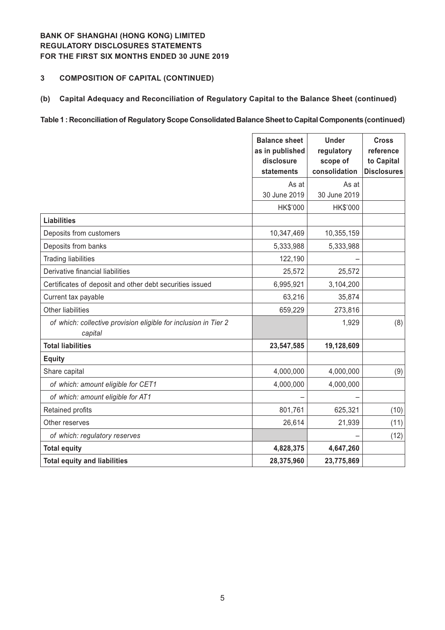#### **3 COMPOSITION OF CAPITAL (CONTINUED)**

## **(b) Capital Adequacy and Reconciliation of Regulatory Capital to the Balance Sheet (continued)**

#### **Table 1 : Reconciliation of Regulatory Scope Consolidated Balance Sheet to Capital Components (continued)**

|                                                                            | <b>Balance sheet</b><br>as in published<br>disclosure<br>statements | <b>Under</b><br>regulatory<br>scope of<br>consolidation | <b>Cross</b><br>reference<br>to Capital<br><b>Disclosures</b> |
|----------------------------------------------------------------------------|---------------------------------------------------------------------|---------------------------------------------------------|---------------------------------------------------------------|
|                                                                            | As at<br>30 June 2019                                               | As at<br>30 June 2019                                   |                                                               |
|                                                                            | HK\$'000                                                            | HK\$'000                                                |                                                               |
| <b>Liabilities</b>                                                         |                                                                     |                                                         |                                                               |
| Deposits from customers                                                    | 10,347,469                                                          | 10,355,159                                              |                                                               |
| Deposits from banks                                                        | 5,333,988                                                           | 5,333,988                                               |                                                               |
| <b>Trading liabilities</b>                                                 | 122,190                                                             |                                                         |                                                               |
| Derivative financial liabilities                                           | 25,572                                                              | 25,572                                                  |                                                               |
| Certificates of deposit and other debt securities issued                   | 6,995,921                                                           | 3,104,200                                               |                                                               |
| Current tax payable                                                        | 63,216                                                              | 35,874                                                  |                                                               |
| Other liabilities                                                          | 659,229                                                             | 273,816                                                 |                                                               |
| of which: collective provision eligible for inclusion in Tier 2<br>capital |                                                                     | 1,929                                                   | (8)                                                           |
| <b>Total liabilities</b>                                                   | 23,547,585                                                          | 19,128,609                                              |                                                               |
| <b>Equity</b>                                                              |                                                                     |                                                         |                                                               |
| Share capital                                                              | 4,000,000                                                           | 4,000,000                                               | (9)                                                           |
| of which: amount eligible for CET1                                         | 4,000,000                                                           | 4,000,000                                               |                                                               |
| of which: amount eligible for AT1                                          |                                                                     |                                                         |                                                               |
| Retained profits                                                           | 801,761                                                             | 625,321                                                 | (10)                                                          |
| Other reserves                                                             | 26,614                                                              | 21,939                                                  | (11)                                                          |
| of which: regulatory reserves                                              |                                                                     |                                                         | (12)                                                          |
| <b>Total equity</b>                                                        | 4,828,375                                                           | 4,647,260                                               |                                                               |
| <b>Total equity and liabilities</b>                                        | 28,375,960                                                          | 23,775,869                                              |                                                               |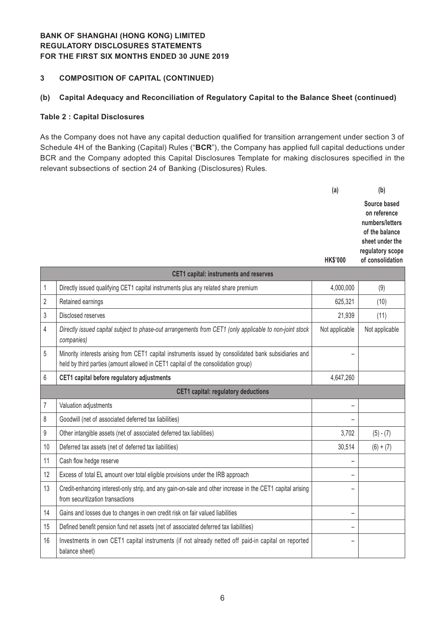#### **3 COMPOSITION OF CAPITAL (CONTINUED)**

## **(b) Capital Adequacy and Reconciliation of Regulatory Capital to the Balance Sheet (continued)**

#### **Table 2 : Capital Disclosures**

As the Company does not have any capital deduction qualified for transition arrangement under section 3 of Schedule 4H of the Banking (Capital) Rules ("**BCR**"), the Company has applied full capital deductions under BCR and the Company adopted this Capital Disclosures Template for making disclosures specified in the relevant subsections of section 24 of Banking (Disclosures) Rules.

|                |                                                                                                                       | (a)             | (b)                                                                                                                          |
|----------------|-----------------------------------------------------------------------------------------------------------------------|-----------------|------------------------------------------------------------------------------------------------------------------------------|
|                |                                                                                                                       | <b>HK\$'000</b> | Source based<br>on reference<br>numbers/letters<br>of the balance<br>sheet under the<br>regulatory scope<br>of consolidation |
|                | <b>CET1 capital: instruments and reserves</b>                                                                         |                 |                                                                                                                              |
|                | Directly issued qualifying CET1 capital instruments plus any related share premium                                    | 4,000,000       | (9)                                                                                                                          |
| $\overline{2}$ | Retained earnings                                                                                                     | 625,321         | (10)                                                                                                                         |
| 3              | Disclosed reserves                                                                                                    | 21,939          | (11)                                                                                                                         |
| 4              | Directly issued capital subject to phase-out arrangements from CET1 (only applicable to non-joint stock<br>companies) | Not applicable  | Not applicable                                                                                                               |

|                | Directly issued capital subject to phase-out arrangements from OLTT formy applicable to holl-joint stock<br>companies)                                                                     | <b><i>INOL applicable</i></b> | <b><i>INVEGPPROGRE</i></b> |
|----------------|--------------------------------------------------------------------------------------------------------------------------------------------------------------------------------------------|-------------------------------|----------------------------|
| 5              | Minority interests arising from CET1 capital instruments issued by consolidated bank subsidiaries and<br>held by third parties (amount allowed in CET1 capital of the consolidation group) |                               |                            |
| 6              | CET1 capital before regulatory adjustments                                                                                                                                                 | 4,647,260                     |                            |
|                | <b>CET1 capital: regulatory deductions</b>                                                                                                                                                 |                               |                            |
| $\overline{7}$ | Valuation adjustments                                                                                                                                                                      |                               |                            |
| 8              | Goodwill (net of associated deferred tax liabilities)                                                                                                                                      |                               |                            |
| 9              | Other intangible assets (net of associated deferred tax liabilities)                                                                                                                       | 3,702                         | $(5) - (7)$                |
| 10             | Deferred tax assets (net of deferred tax liabilities)                                                                                                                                      | 30,514                        | $(6) + (7)$                |
| 11             | Cash flow hedge reserve                                                                                                                                                                    |                               |                            |
| 12             | Excess of total EL amount over total eligible provisions under the IRB approach                                                                                                            |                               |                            |
| 13             | Credit-enhancing interest-only strip, and any gain-on-sale and other increase in the CET1 capital arising<br>from securitization transactions                                              |                               |                            |
| 14             | Gains and losses due to changes in own credit risk on fair valued liabilities                                                                                                              |                               |                            |
| 15             | Defined benefit pension fund net assets (net of associated deferred tax liabilities)                                                                                                       |                               |                            |
| 16             | Investments in own CET1 capital instruments (if not already netted off paid-in capital on reported<br>balance sheet)                                                                       |                               |                            |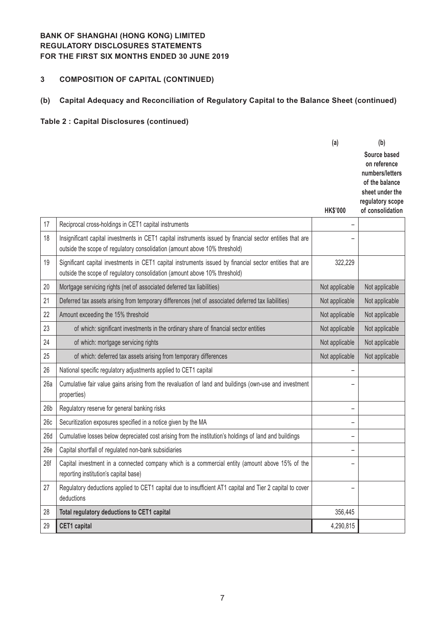# **3 COMPOSITION OF CAPITAL (CONTINUED)**

# **(b) Capital Adequacy and Reconciliation of Regulatory Capital to the Balance Sheet (continued)**

|                 |                                                                                                                                                                                          | (a)             | (b)                                                                                                                          |
|-----------------|------------------------------------------------------------------------------------------------------------------------------------------------------------------------------------------|-----------------|------------------------------------------------------------------------------------------------------------------------------|
|                 |                                                                                                                                                                                          | <b>HK\$'000</b> | Source based<br>on reference<br>numbers/letters<br>of the balance<br>sheet under the<br>regulatory scope<br>of consolidation |
| 17              | Reciprocal cross-holdings in CET1 capital instruments                                                                                                                                    |                 |                                                                                                                              |
| 18              | Insignificant capital investments in CET1 capital instruments issued by financial sector entities that are<br>outside the scope of regulatory consolidation (amount above 10% threshold) |                 |                                                                                                                              |
| 19              | Significant capital investments in CET1 capital instruments issued by financial sector entities that are<br>outside the scope of regulatory consolidation (amount above 10% threshold)   | 322,229         |                                                                                                                              |
| 20              | Mortgage servicing rights (net of associated deferred tax liabilities)                                                                                                                   | Not applicable  | Not applicable                                                                                                               |
| 21              | Deferred tax assets arising from temporary differences (net of associated deferred tax liabilities)                                                                                      | Not applicable  | Not applicable                                                                                                               |
| 22              | Amount exceeding the 15% threshold                                                                                                                                                       | Not applicable  | Not applicable                                                                                                               |
| 23              | of which: significant investments in the ordinary share of financial sector entities                                                                                                     | Not applicable  | Not applicable                                                                                                               |
| 24              | of which: mortgage servicing rights                                                                                                                                                      | Not applicable  | Not applicable                                                                                                               |
| 25              | of which: deferred tax assets arising from temporary differences                                                                                                                         | Not applicable  | Not applicable                                                                                                               |
| 26              | National specific regulatory adjustments applied to CET1 capital                                                                                                                         |                 |                                                                                                                              |
| 26a             | Cumulative fair value gains arising from the revaluation of land and buildings (own-use and investment<br>properties)                                                                    |                 |                                                                                                                              |
| 26 <sub>b</sub> | Regulatory reserve for general banking risks                                                                                                                                             |                 |                                                                                                                              |
| 26c             | Securitization exposures specified in a notice given by the MA                                                                                                                           |                 |                                                                                                                              |
| 26d             | Cumulative losses below depreciated cost arising from the institution's holdings of land and buildings                                                                                   |                 |                                                                                                                              |
| 26e             | Capital shortfall of regulated non-bank subsidiaries                                                                                                                                     |                 |                                                                                                                              |
| 26f             | Capital investment in a connected company which is a commercial entity (amount above 15% of the<br>reporting institution's capital base)                                                 |                 |                                                                                                                              |
| 27              | Regulatory deductions applied to CET1 capital due to insufficient AT1 capital and Tier 2 capital to cover<br>deductions                                                                  |                 |                                                                                                                              |
| 28              | Total regulatory deductions to CET1 capital                                                                                                                                              | 356,445         |                                                                                                                              |
| 29              | <b>CET1</b> capital                                                                                                                                                                      | 4,290,815       |                                                                                                                              |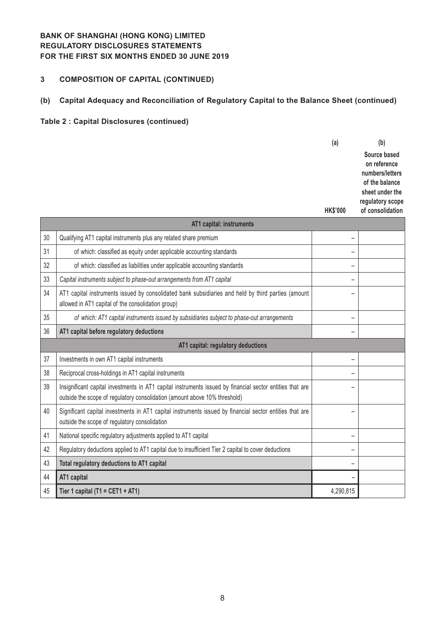# **3 COMPOSITION OF CAPITAL (CONTINUED)**

# **(b) Capital Adequacy and Reconciliation of Regulatory Capital to the Balance Sheet (continued)**

|    |                                                                                                                                                                                         | (a)<br><b>HK\$'000</b>   | (b)<br>Source based<br>on reference<br>numbers/letters<br>of the balance<br>sheet under the<br>regulatory scope<br>of consolidation |
|----|-----------------------------------------------------------------------------------------------------------------------------------------------------------------------------------------|--------------------------|-------------------------------------------------------------------------------------------------------------------------------------|
|    | AT1 capital: instruments                                                                                                                                                                |                          |                                                                                                                                     |
| 30 | Qualifying AT1 capital instruments plus any related share premium                                                                                                                       |                          |                                                                                                                                     |
| 31 | of which: classified as equity under applicable accounting standards                                                                                                                    | <u>.</u>                 |                                                                                                                                     |
| 32 | of which: classified as liabilities under applicable accounting standards                                                                                                               | -                        |                                                                                                                                     |
| 33 | Capital instruments subject to phase-out arrangements from AT1 capital                                                                                                                  | $\overline{\phantom{0}}$ |                                                                                                                                     |
| 34 | AT1 capital instruments issued by consolidated bank subsidiaries and held by third parties (amount<br>allowed in AT1 capital of the consolidation group)                                | -                        |                                                                                                                                     |
| 35 | of which: AT1 capital instruments issued by subsidiaries subject to phase-out arrangements                                                                                              | -                        |                                                                                                                                     |
| 36 | AT1 capital before regulatory deductions                                                                                                                                                | -                        |                                                                                                                                     |
|    | AT1 capital: regulatory deductions                                                                                                                                                      |                          |                                                                                                                                     |
| 37 | Investments in own AT1 capital instruments                                                                                                                                              | $\overline{\phantom{0}}$ |                                                                                                                                     |
| 38 | Reciprocal cross-holdings in AT1 capital instruments                                                                                                                                    | $\overline{\phantom{0}}$ |                                                                                                                                     |
| 39 | Insignificant capital investments in AT1 capital instruments issued by financial sector entities that are<br>outside the scope of regulatory consolidation (amount above 10% threshold) |                          |                                                                                                                                     |
| 40 | Significant capital investments in AT1 capital instruments issued by financial sector entities that are<br>outside the scope of regulatory consolidation                                | $\overline{\phantom{0}}$ |                                                                                                                                     |
| 41 | National specific regulatory adjustments applied to AT1 capital                                                                                                                         | $\overline{\phantom{0}}$ |                                                                                                                                     |
| 42 | Regulatory deductions applied to AT1 capital due to insufficient Tier 2 capital to cover deductions                                                                                     | $\overline{\phantom{0}}$ |                                                                                                                                     |
| 43 | Total regulatory deductions to AT1 capital                                                                                                                                              | -                        |                                                                                                                                     |
| 44 | AT1 capital                                                                                                                                                                             |                          |                                                                                                                                     |
| 45 | Tier 1 capital (T1 = CET1 + AT1)                                                                                                                                                        | 4,290,815                |                                                                                                                                     |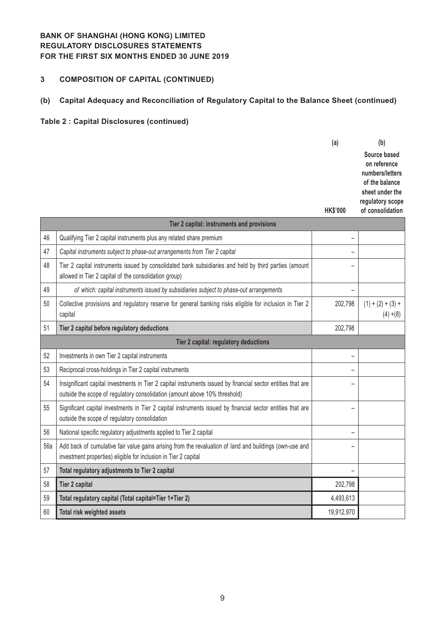# **3 COMPOSITION OF CAPITAL (CONTINUED)**

# **(b) Capital Adequacy and Reconciliation of Regulatory Capital to the Balance Sheet (continued)**

|     |                                                                                                                                                                                            | (a)<br><b>HK\$'000</b>   | (b)<br>Source based<br>on reference<br>numbers/letters<br>of the balance<br>sheet under the<br>regulatory scope<br>of consolidation |
|-----|--------------------------------------------------------------------------------------------------------------------------------------------------------------------------------------------|--------------------------|-------------------------------------------------------------------------------------------------------------------------------------|
|     | Tier 2 capital: instruments and provisions                                                                                                                                                 |                          |                                                                                                                                     |
| 46  | Qualifying Tier 2 capital instruments plus any related share premium                                                                                                                       |                          |                                                                                                                                     |
| 47  | Capital instruments subject to phase-out arrangements from Tier 2 capital                                                                                                                  | -                        |                                                                                                                                     |
| 48  | Tier 2 capital instruments issued by consolidated bank subsidiaries and held by third parties (amount<br>allowed in Tier 2 capital of the consolidation group)                             |                          |                                                                                                                                     |
| 49  | of which: capital instruments issued by subsidiaries subject to phase-out arrangements                                                                                                     |                          |                                                                                                                                     |
| 50  | Collective provisions and regulatory reserve for general banking risks eligible for inclusion in Tier 2<br>capital                                                                         | 202,798                  | $(1) + (2) + (3) +$<br>$(4) + (8)$                                                                                                  |
| 51  | Tier 2 capital before regulatory deductions                                                                                                                                                | 202,798                  |                                                                                                                                     |
|     | Tier 2 capital: regulatory deductions                                                                                                                                                      |                          |                                                                                                                                     |
| 52  | Investments in own Tier 2 capital instruments                                                                                                                                              | $\overline{\phantom{0}}$ |                                                                                                                                     |
| 53  | Reciprocal cross-holdings in Tier 2 capital instruments                                                                                                                                    |                          |                                                                                                                                     |
| 54  | Insignificant capital investments in Tier 2 capital instruments issued by financial sector entities that are<br>outside the scope of regulatory consolidation (amount above 10% threshold) | -                        |                                                                                                                                     |
| 55  | Significant capital investments in Tier 2 capital instruments issued by financial sector entities that are<br>outside the scope of regulatory consolidation                                | $\overline{\phantom{0}}$ |                                                                                                                                     |
| 56  | National specific regulatory adjustments applied to Tier 2 capital                                                                                                                         | $\overline{\phantom{0}}$ |                                                                                                                                     |
| 56a | Add back of cumulative fair value gains arising from the revaluation of land and buildings (own-use and<br>investment properties) eligible for inclusion in Tier 2 capital                 | -                        |                                                                                                                                     |
| 57  | Total regulatory adjustments to Tier 2 capital                                                                                                                                             |                          |                                                                                                                                     |
| 58  | <b>Tier 2 capital</b>                                                                                                                                                                      | 202,798                  |                                                                                                                                     |
| 59  | Total regulatory capital (Total capital=Tier 1+Tier 2)                                                                                                                                     | 4,493,613                |                                                                                                                                     |
| 60  | Total risk weighted assets                                                                                                                                                                 | 19,912,970               |                                                                                                                                     |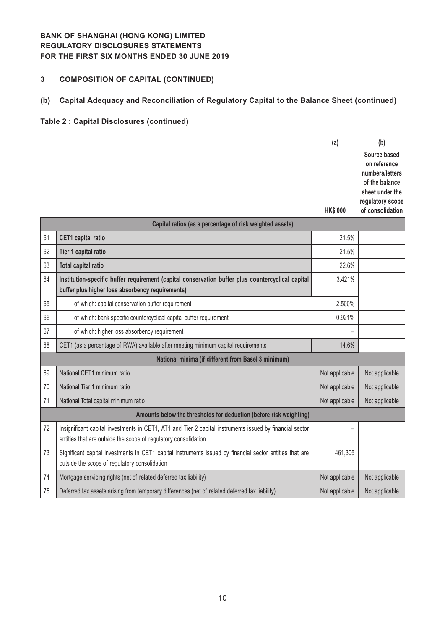# **3 COMPOSITION OF CAPITAL (CONTINUED)**

# **(b) Capital Adequacy and Reconciliation of Regulatory Capital to the Balance Sheet (continued)**

|    |                                                                                                                                                                             | (a)             | (b)                                                               |
|----|-----------------------------------------------------------------------------------------------------------------------------------------------------------------------------|-----------------|-------------------------------------------------------------------|
|    |                                                                                                                                                                             |                 | Source based<br>on reference<br>numbers/letters<br>of the balance |
|    |                                                                                                                                                                             |                 | sheet under the<br>regulatory scope                               |
|    |                                                                                                                                                                             | <b>HK\$'000</b> | of consolidation                                                  |
|    | Capital ratios (as a percentage of risk weighted assets)                                                                                                                    |                 |                                                                   |
| 61 | <b>CET1</b> capital ratio                                                                                                                                                   | 21.5%           |                                                                   |
| 62 | Tier 1 capital ratio                                                                                                                                                        | 21.5%           |                                                                   |
| 63 | <b>Total capital ratio</b>                                                                                                                                                  | 22.6%           |                                                                   |
| 64 | Institution-specific buffer requirement (capital conservation buffer plus countercyclical capital<br>buffer plus higher loss absorbency requirements)                       | 3.421%          |                                                                   |
| 65 | of which: capital conservation buffer requirement                                                                                                                           | 2.500%          |                                                                   |
| 66 | of which: bank specific countercyclical capital buffer requirement                                                                                                          | 0.921%          |                                                                   |
| 67 | of which: higher loss absorbency requirement                                                                                                                                |                 |                                                                   |
| 68 | CET1 (as a percentage of RWA) available after meeting minimum capital requirements                                                                                          | 14.6%           |                                                                   |
|    | National minima (if different from Basel 3 minimum)                                                                                                                         |                 |                                                                   |
| 69 | National CET1 minimum ratio                                                                                                                                                 | Not applicable  | Not applicable                                                    |
| 70 | National Tier 1 minimum ratio                                                                                                                                               | Not applicable  | Not applicable                                                    |
| 71 | National Total capital minimum ratio                                                                                                                                        | Not applicable  | Not applicable                                                    |
|    | Amounts below the thresholds for deduction (before risk weighting)                                                                                                          |                 |                                                                   |
| 72 | Insignificant capital investments in CET1, AT1 and Tier 2 capital instruments issued by financial sector<br>entities that are outside the scope of regulatory consolidation | -               |                                                                   |
| 73 | Significant capital investments in CET1 capital instruments issued by financial sector entities that are<br>outside the scope of regulatory consolidation                   | 461,305         |                                                                   |
| 74 | Mortgage servicing rights (net of related deferred tax liability)                                                                                                           | Not applicable  | Not applicable                                                    |
| 75 | Deferred tax assets arising from temporary differences (net of related deferred tax liability)                                                                              | Not applicable  | Not applicable                                                    |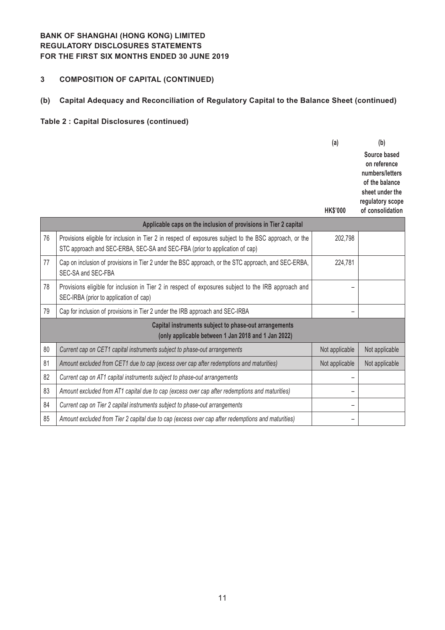# **3 COMPOSITION OF CAPITAL (CONTINUED)**

# **(b) Capital Adequacy and Reconciliation of Regulatory Capital to the Balance Sheet (continued)**

|    |                                                                                                                                                                                        | (a)                      | (b)                                                                                                                          |
|----|----------------------------------------------------------------------------------------------------------------------------------------------------------------------------------------|--------------------------|------------------------------------------------------------------------------------------------------------------------------|
|    |                                                                                                                                                                                        | <b>HK\$'000</b>          | Source based<br>on reference<br>numbers/letters<br>of the balance<br>sheet under the<br>regulatory scope<br>of consolidation |
|    | Applicable caps on the inclusion of provisions in Tier 2 capital                                                                                                                       |                          |                                                                                                                              |
| 76 | Provisions eligible for inclusion in Tier 2 in respect of exposures subject to the BSC approach, or the<br>STC approach and SEC-ERBA, SEC-SA and SEC-FBA (prior to application of cap) | 202,798                  |                                                                                                                              |
| 77 | Cap on inclusion of provisions in Tier 2 under the BSC approach, or the STC approach, and SEC-ERBA,<br>SEC-SA and SEC-FBA                                                              | 224,781                  |                                                                                                                              |
| 78 | Provisions eligible for inclusion in Tier 2 in respect of exposures subject to the IRB approach and<br>SEC-IRBA (prior to application of cap)                                          |                          |                                                                                                                              |
| 79 | Cap for inclusion of provisions in Tier 2 under the IRB approach and SEC-IRBA                                                                                                          |                          |                                                                                                                              |
|    | Capital instruments subject to phase-out arrangements                                                                                                                                  |                          |                                                                                                                              |
|    | (only applicable between 1 Jan 2018 and 1 Jan 2022)                                                                                                                                    |                          |                                                                                                                              |
| 80 | Current cap on CET1 capital instruments subject to phase-out arrangements                                                                                                              | Not applicable           | Not applicable                                                                                                               |
| 81 | Amount excluded from CET1 due to cap (excess over cap after redemptions and maturities)                                                                                                | Not applicable           | Not applicable                                                                                                               |
| 82 | Current cap on AT1 capital instruments subject to phase-out arrangements                                                                                                               |                          |                                                                                                                              |
| 83 | Amount excluded from AT1 capital due to cap (excess over cap after redemptions and maturities)                                                                                         | -                        |                                                                                                                              |
| 84 | Current cap on Tier 2 capital instruments subject to phase-out arrangements                                                                                                            | $\overline{\phantom{0}}$ |                                                                                                                              |
| 85 | Amount excluded from Tier 2 capital due to cap (excess over cap after redemptions and maturities)                                                                                      |                          |                                                                                                                              |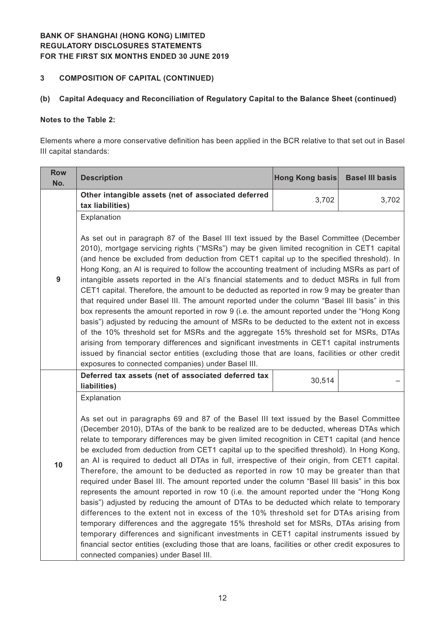# **3 COMPOSITION OF CAPITAL (CONTINUED)**

## **(b) Capital Adequacy and Reconciliation of Regulatory Capital to the Balance Sheet (continued)**

#### **Notes to the Table 2:**

Elements where a more conservative definition has been applied in the BCR relative to that set out in Basel III capital standards:

| <b>Row</b><br>No. | <b>Description</b>                                                                                                                                                                                                                                                                                                                                                                                                                                                                                                                                                                                                                                                                                                                                                                                                                                                                                                                                                                                                                                                                                                                                                                                                                                                                                         | Hong Kong basis | <b>Basel III basis</b> |  |
|-------------------|------------------------------------------------------------------------------------------------------------------------------------------------------------------------------------------------------------------------------------------------------------------------------------------------------------------------------------------------------------------------------------------------------------------------------------------------------------------------------------------------------------------------------------------------------------------------------------------------------------------------------------------------------------------------------------------------------------------------------------------------------------------------------------------------------------------------------------------------------------------------------------------------------------------------------------------------------------------------------------------------------------------------------------------------------------------------------------------------------------------------------------------------------------------------------------------------------------------------------------------------------------------------------------------------------------|-----------------|------------------------|--|
|                   | Other intangible assets (net of associated deferred<br>tax liabilities)                                                                                                                                                                                                                                                                                                                                                                                                                                                                                                                                                                                                                                                                                                                                                                                                                                                                                                                                                                                                                                                                                                                                                                                                                                    | 3,702           | 3,702                  |  |
| 9                 | Explanation<br>As set out in paragraph 87 of the Basel III text issued by the Basel Committee (December<br>2010), mortgage servicing rights ("MSRs") may be given limited recognition in CET1 capital<br>(and hence be excluded from deduction from CET1 capital up to the specified threshold). In<br>Hong Kong, an AI is required to follow the accounting treatment of including MSRs as part of<br>intangible assets reported in the AI's financial statements and to deduct MSRs in full from<br>CET1 capital. Therefore, the amount to be deducted as reported in row 9 may be greater than<br>that required under Basel III. The amount reported under the column "Basel III basis" in this<br>box represents the amount reported in row 9 (i.e. the amount reported under the "Hong Kong<br>basis") adjusted by reducing the amount of MSRs to be deducted to the extent not in excess<br>of the 10% threshold set for MSRs and the aggregate 15% threshold set for MSRs, DTAs<br>arising from temporary differences and significant investments in CET1 capital instruments<br>issued by financial sector entities (excluding those that are loans, facilities or other credit<br>exposures to connected companies) under Basel III.                                                              |                 |                        |  |
|                   | Deferred tax assets (net of associated deferred tax<br>liabilities)                                                                                                                                                                                                                                                                                                                                                                                                                                                                                                                                                                                                                                                                                                                                                                                                                                                                                                                                                                                                                                                                                                                                                                                                                                        | 30,514          |                        |  |
| 10                | Explanation<br>As set out in paragraphs 69 and 87 of the Basel III text issued by the Basel Committee<br>(December 2010), DTAs of the bank to be realized are to be deducted, whereas DTAs which<br>relate to temporary differences may be given limited recognition in CET1 capital (and hence<br>be excluded from deduction from CET1 capital up to the specified threshold). In Hong Kong,<br>an AI is required to deduct all DTAs in full, irrespective of their origin, from CET1 capital.<br>Therefore, the amount to be deducted as reported in row 10 may be greater than that<br>required under Basel III. The amount reported under the column "Basel III basis" in this box<br>represents the amount reported in row 10 (i.e. the amount reported under the "Hong Kong<br>basis") adjusted by reducing the amount of DTAs to be deducted which relate to temporary<br>differences to the extent not in excess of the 10% threshold set for DTAs arising from<br>temporary differences and the aggregate 15% threshold set for MSRs, DTAs arising from<br>temporary differences and significant investments in CET1 capital instruments issued by<br>financial sector entities (excluding those that are loans, facilities or other credit exposures to<br>connected companies) under Basel III. |                 |                        |  |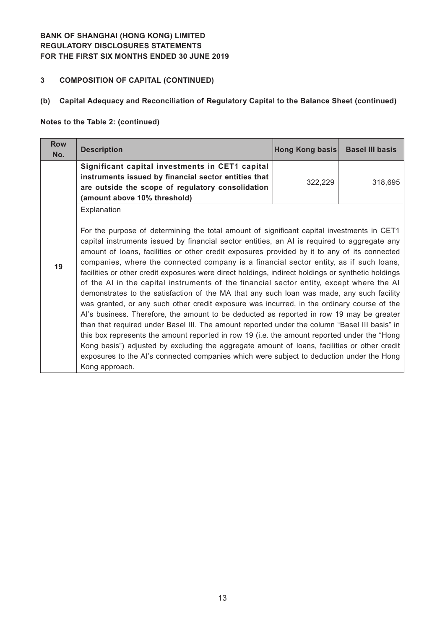# **3 COMPOSITION OF CAPITAL (CONTINUED)**

# **(b) Capital Adequacy and Reconciliation of Regulatory Capital to the Balance Sheet (continued)**

#### **Notes to the Table 2: (continued)**

| <b>Row</b><br>No. | <b>Description</b>                                                                                                                                                                                                                                                                                                                                                                                                                                                                                                                                                                                                                                                                                                                                                                                                                                                                                                                                                                                                                                                                                                                                                                                                                                                                                         | Hong Kong basis | <b>Basel III basis</b> |
|-------------------|------------------------------------------------------------------------------------------------------------------------------------------------------------------------------------------------------------------------------------------------------------------------------------------------------------------------------------------------------------------------------------------------------------------------------------------------------------------------------------------------------------------------------------------------------------------------------------------------------------------------------------------------------------------------------------------------------------------------------------------------------------------------------------------------------------------------------------------------------------------------------------------------------------------------------------------------------------------------------------------------------------------------------------------------------------------------------------------------------------------------------------------------------------------------------------------------------------------------------------------------------------------------------------------------------------|-----------------|------------------------|
|                   | Significant capital investments in CET1 capital<br>instruments issued by financial sector entities that<br>are outside the scope of regulatory consolidation<br>(amount above 10% threshold)                                                                                                                                                                                                                                                                                                                                                                                                                                                                                                                                                                                                                                                                                                                                                                                                                                                                                                                                                                                                                                                                                                               | 322,229         | 318,695                |
| 19                | Explanation<br>For the purpose of determining the total amount of significant capital investments in CET1<br>capital instruments issued by financial sector entities, an AI is required to aggregate any<br>amount of loans, facilities or other credit exposures provided by it to any of its connected<br>companies, where the connected company is a financial sector entity, as if such loans,<br>facilities or other credit exposures were direct holdings, indirect holdings or synthetic holdings<br>of the AI in the capital instruments of the financial sector entity, except where the AI<br>demonstrates to the satisfaction of the MA that any such loan was made, any such facility<br>was granted, or any such other credit exposure was incurred, in the ordinary course of the<br>Al's business. Therefore, the amount to be deducted as reported in row 19 may be greater<br>than that required under Basel III. The amount reported under the column "Basel III basis" in<br>this box represents the amount reported in row 19 (i.e. the amount reported under the "Hong"<br>Kong basis") adjusted by excluding the aggregate amount of loans, facilities or other credit<br>exposures to the AI's connected companies which were subject to deduction under the Hong<br>Kong approach. |                 |                        |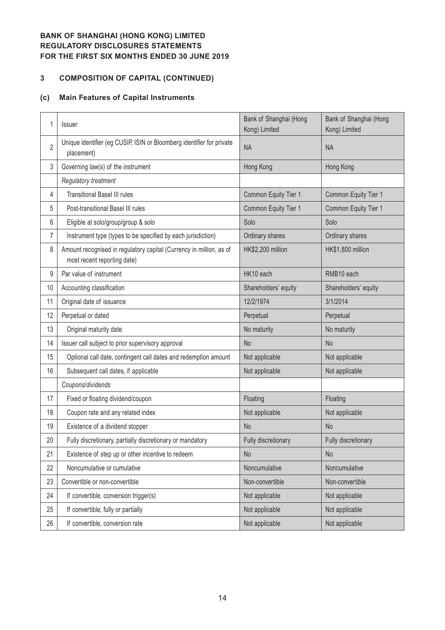# **COMPOSITION OF CAPITAL (CONTINUED)**

#### **(c) Main Features of Capital Instruments**

| 1              | <b>Issuer</b>                                                                                      | Bank of Shanghai (Hong<br>Kong) Limited | Bank of Shanghai (Hong<br>Kong) Limited |
|----------------|----------------------------------------------------------------------------------------------------|-----------------------------------------|-----------------------------------------|
| $\overline{2}$ | Unique identifier (eg CUSIP, ISIN or Bloomberg identifier for private<br>placement)                | <b>NA</b>                               | <b>NA</b>                               |
| 3              | Governing law(s) of the instrument                                                                 | Hong Kong                               | Hong Kong                               |
|                | Regulatory treatment                                                                               |                                         |                                         |
| 4              | <b>Transitional Basel III rules</b>                                                                | Common Equity Tier 1                    | Common Equity Tier 1                    |
| 5              | Post-transitional Basel III rules                                                                  | Common Equity Tier 1                    | Common Equity Tier 1                    |
| 6              | Eligible at solo/group/group & solo                                                                | Solo                                    | Solo                                    |
| 7              | Instrument type (types to be specified by each jurisdiction)                                       | Ordinary shares                         | Ordinary shares                         |
| 8              | Amount recognised in regulatory capital (Currency in million, as of<br>most recent reporting date) | HK\$2,200 million                       | HK\$1,800 million                       |
| 9              | Par value of instrument                                                                            | HK10 each                               | RMB10 each                              |
| 10             | Accounting classification                                                                          | Shareholders' equity                    | Shareholders' equity                    |
| 11             | Original date of issuance                                                                          | 12/2/1974                               | 3/1/2014                                |
| 12             | Perpetual or dated                                                                                 | Perpetual                               | Perpetual                               |
| 13             | Original maturity date                                                                             | No maturity                             | No maturity                             |
| 14             | Issuer call subject to prior supervisory approval                                                  | N <sub>o</sub>                          | N <sub>o</sub>                          |
| 15             | Optional call date, contingent call dates and redemption amount                                    | Not applicable                          | Not applicable                          |
| 16             | Subsequent call dates, if applicable                                                               | Not applicable                          | Not applicable                          |
|                | Coupons/dividends                                                                                  |                                         |                                         |
| 17             | Fixed or floating dividend/coupon                                                                  | Floating                                | Floating                                |
| 18             | Coupon rate and any related index                                                                  | Not applicable                          | Not applicable                          |
| 19             | Existence of a dividend stopper                                                                    | <b>No</b>                               | <b>No</b>                               |
| 20             | Fully discretionary, partially discretionary or mandatory                                          | Fully discretionary                     | Fully discretionary                     |
| 21             | Existence of step up or other incentive to redeem                                                  | <b>No</b>                               | No                                      |
| 22             | Noncumulative or cumulative                                                                        | Noncumulative                           | Noncumulative                           |
| 23             | Convertible or non-convertible                                                                     | Non-convertible                         | Non-convertible                         |
| 24             | If convertible, conversion trigger(s)                                                              | Not applicable                          | Not applicable                          |
| 25             | If convertible, fully or partially                                                                 | Not applicable                          | Not applicable                          |
| 26             | If convertible, conversion rate                                                                    | Not applicable                          | Not applicable                          |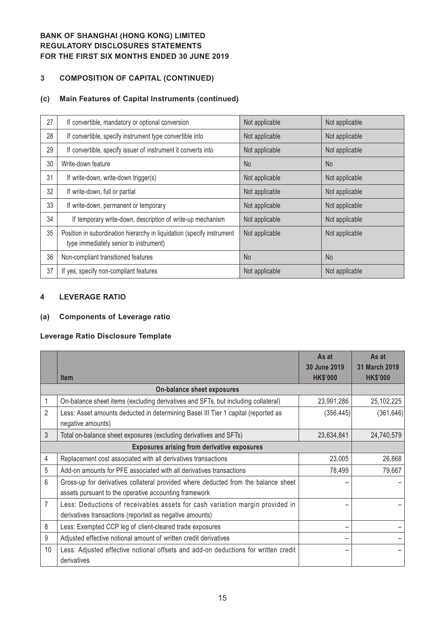# **3 COMPOSITION OF CAPITAL (CONTINUED)**

#### **(c) Main Features of Capital Instruments (continued)**

| 27 | If convertible, mandatory or optional conversion                                                                 | Not applicable | Not applicable |
|----|------------------------------------------------------------------------------------------------------------------|----------------|----------------|
| 28 | If convertible, specify instrument type convertible into                                                         | Not applicable | Not applicable |
| 29 | If convertible, specify issuer of instrument it converts into                                                    | Not applicable | Not applicable |
| 30 | Write-down feature                                                                                               | <b>No</b>      | N <sub>o</sub> |
| 31 | If write-down, write-down trigger(s)                                                                             | Not applicable | Not applicable |
| 32 | If write-down, full or partial                                                                                   | Not applicable | Not applicable |
| 33 | If write-down, permanent or temporary                                                                            | Not applicable | Not applicable |
| 34 | If temporary write-down, description of write-up mechanism                                                       | Not applicable | Not applicable |
| 35 | Position in subordination hierarchy in liquidation (specify instrument<br>type immediately senior to instrument) | Not applicable | Not applicable |
| 36 | Non-compliant transitioned features                                                                              | <b>No</b>      | N <sub>o</sub> |
| 37 | If yes, specify non-compliant features                                                                           | Not applicable | Not applicable |

#### **4 LEVERAGE RATIO**

## **(a) Components of Leverage ratio**

#### **Leverage Ratio Disclosure Template**

|                                                    |                                                                                                                                             | As at<br>30 June 2019 | As at<br>31 March 2019 |
|----------------------------------------------------|---------------------------------------------------------------------------------------------------------------------------------------------|-----------------------|------------------------|
|                                                    | <b>Item</b>                                                                                                                                 | <b>HK\$'000</b>       | <b>HK\$'000</b>        |
|                                                    | On-balance sheet exposures                                                                                                                  |                       |                        |
|                                                    | On-balance sheet items (excluding derivatives and SFTs, but including collateral)                                                           | 23,991,286            | 25,102,225             |
| 2                                                  | Less: Asset amounts deducted in determining Basel III Tier 1 capital (reported as<br>negative amounts)                                      | (356, 445)            | (361, 646)             |
| 3                                                  | Total on-balance sheet exposures (excluding derivatives and SFTs)                                                                           | 23,634,841            | 24,740,579             |
| <b>Exposures arising from derivative exposures</b> |                                                                                                                                             |                       |                        |
| 4                                                  | Replacement cost associated with all derivatives transactions                                                                               | 23,005                | 26,868                 |
| 5                                                  | Add-on amounts for PFE associated with all derivatives transactions                                                                         | 78,499                | 79,667                 |
| 6                                                  | Gross-up for derivatives collateral provided where deducted from the balance sheet<br>assets pursuant to the operative accounting framework |                       |                        |
| 7                                                  | Less: Deductions of receivables assets for cash variation margin provided in<br>derivatives transactions (reported as negative amounts)     |                       |                        |
| 8                                                  | Less: Exempted CCP leg of client-cleared trade exposures                                                                                    |                       |                        |
| 9                                                  | Adjusted effective notional amount of written credit derivatives                                                                            |                       |                        |
| 10                                                 | Less: Adjusted effective notional offsets and add-on deductions for written credit<br>derivatives                                           |                       |                        |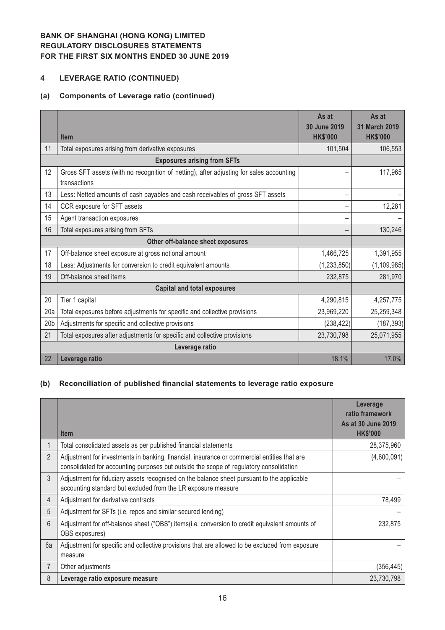# **4 LEVERAGE RATIO (CONTINUED)**

## **(a) Components of Leverage ratio (continued)**

|                                   |                                                                                                         | As at<br>30 June 2019 | As at<br>31 March 2019 |
|-----------------------------------|---------------------------------------------------------------------------------------------------------|-----------------------|------------------------|
|                                   | <b>Item</b>                                                                                             | <b>HK\$'000</b>       | <b>HK\$'000</b>        |
| 11                                | Total exposures arising from derivative exposures                                                       | 101,504               | 106,553                |
|                                   | <b>Exposures arising from SFTs</b>                                                                      |                       |                        |
| 12                                | Gross SFT assets (with no recognition of netting), after adjusting for sales accounting<br>transactions |                       | 117,965                |
| 13                                | Less: Netted amounts of cash payables and cash receivables of gross SFT assets                          |                       |                        |
| 14                                | CCR exposure for SFT assets                                                                             |                       | 12,281                 |
| 15                                | Agent transaction exposures                                                                             |                       |                        |
| 16                                | Total exposures arising from SFTs                                                                       |                       | 130,246                |
| Other off-balance sheet exposures |                                                                                                         |                       |                        |
| 17                                | Off-balance sheet exposure at gross notional amount                                                     | 1,466,725             | 1,391,955              |
| 18                                | Less: Adjustments for conversion to credit equivalent amounts                                           | (1, 233, 850)         | (1, 109, 985)          |
| 19                                | Off-balance sheet items                                                                                 | 232,875               | 281,970                |
|                                   | <b>Capital and total exposures</b>                                                                      |                       |                        |
| 20                                | Tier 1 capital                                                                                          | 4,290,815             | 4,257,775              |
| 20a                               | Total exposures before adjustments for specific and collective provisions                               | 23,969,220            | 25,259,348             |
| 20 <sub>b</sub>                   | Adjustments for specific and collective provisions                                                      | (238, 422)            | (187, 393)             |
| 21                                | Total exposures after adjustments for specific and collective provisions                                | 23,730,798            | 25,071,955             |
|                                   | Leverage ratio                                                                                          |                       |                        |
| 22                                | Leverage ratio                                                                                          | 18.1%                 | 17.0%                  |

## **(b) Reconciliation of published financial statements to leverage ratio exposure**

|                | <b>Item</b>                                                                                                                                                                           | Leverage<br>ratio framework<br>As at 30 June 2019<br><b>HK\$'000</b> |
|----------------|---------------------------------------------------------------------------------------------------------------------------------------------------------------------------------------|----------------------------------------------------------------------|
|                | Total consolidated assets as per published financial statements                                                                                                                       | 28,375,960                                                           |
| $\overline{2}$ | Adjustment for investments in banking, financial, insurance or commercial entities that are<br>consolidated for accounting purposes but outside the scope of regulatory consolidation | (4,600,091)                                                          |
| $\mathfrak{Z}$ | Adjustment for fiduciary assets recognised on the balance sheet pursuant to the applicable<br>accounting standard but excluded from the LR exposure measure                           |                                                                      |
| 4              | Adjustment for derivative contracts                                                                                                                                                   | 78,499                                                               |
| 5              | Adjustment for SFTs (i.e. repos and similar secured lending)                                                                                                                          |                                                                      |
| 6              | Adjustment for off-balance sheet ("OBS") items(i.e. conversion to credit equivalent amounts of<br>OBS exposures)                                                                      | 232,875                                                              |
| 6a             | Adjustment for specific and collective provisions that are allowed to be excluded from exposure<br>measure                                                                            |                                                                      |
|                | Other adjustments                                                                                                                                                                     | (356, 445)                                                           |
| 8              | Leverage ratio exposure measure                                                                                                                                                       | 23,730,798                                                           |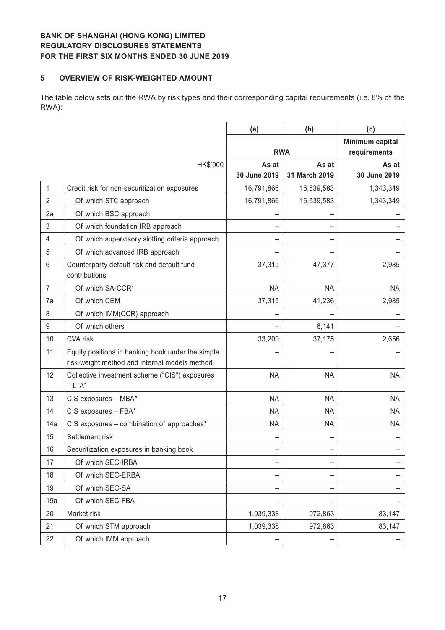#### **5 OVERVIEW OF RISK-WEIGHTED AMOUNT**

The table below sets out the RWA by risk types and their corresponding capital requirements (i.e. 8% of the RWA):

|                 |                                                                                                    | (a)                   | (b)                    | (c)                             |
|-----------------|----------------------------------------------------------------------------------------------------|-----------------------|------------------------|---------------------------------|
|                 |                                                                                                    |                       | <b>RWA</b>             | Minimum capital<br>requirements |
|                 | HK\$'000                                                                                           | As at<br>30 June 2019 | As at<br>31 March 2019 | As at<br>30 June 2019           |
| 1               | Credit risk for non-securitization exposures                                                       | 16,791,866            | 16,539,583             | 1,343,349                       |
| $\overline{2}$  | Of which STC approach                                                                              | 16,791,866            | 16,539,583             | 1,343,349                       |
| 2a              | Of which BSC approach                                                                              |                       |                        |                                 |
| 3               | Of which foundation IRB approach                                                                   |                       |                        |                                 |
| 4               | Of which supervisory slotting criteria approach                                                    |                       |                        |                                 |
| 5               | Of which advanced IRB approach                                                                     |                       |                        |                                 |
| $6\phantom{1}6$ | Counterparty default risk and default fund<br>contributions                                        | 37,315                | 47,377                 | 2,985                           |
| 7               | Of which SA-CCR*                                                                                   | <b>NA</b>             | <b>NA</b>              | <b>NA</b>                       |
| 7a              | Of which CEM                                                                                       | 37,315                | 41,236                 | 2,985                           |
| 8               | Of which IMM(CCR) approach                                                                         |                       |                        |                                 |
| 9               | Of which others                                                                                    |                       | 6,141                  |                                 |
| 10              | CVA risk                                                                                           | 33,200                | 37,175                 | 2,656                           |
| 11              | Equity positions in banking book under the simple<br>risk-weight method and internal models method |                       |                        |                                 |
| 12              | Collective investment scheme ("CIS") exposures<br>$-LTA^*$                                         | <b>NA</b>             | <b>NA</b>              | <b>NA</b>                       |
| 13              | CIS exposures - MBA*                                                                               | <b>NA</b>             | <b>NA</b>              | <b>NA</b>                       |
| 14              | CIS exposures - FBA*                                                                               | <b>NA</b>             | <b>NA</b>              | NA                              |
| 14a             | CIS exposures - combination of approaches*                                                         | <b>NA</b>             | <b>NA</b>              | <b>NA</b>                       |
| 15              | Settlement risk                                                                                    |                       |                        |                                 |
| 16              | Securitization exposures in banking book                                                           |                       |                        |                                 |
| 17              | Of which SEC-IRBA                                                                                  |                       |                        |                                 |
| 18              | Of which SEC-ERBA                                                                                  |                       |                        |                                 |
| 19              | Of which SEC-SA                                                                                    |                       |                        |                                 |
| 19a             | Of which SEC-FBA                                                                                   |                       |                        |                                 |
| 20              | Market risk                                                                                        | 1,039,338             | 972,863                | 83,147                          |
| 21              | Of which STM approach                                                                              | 1,039,338             | 972,863                | 83,147                          |
| 22              | Of which IMM approach                                                                              |                       |                        |                                 |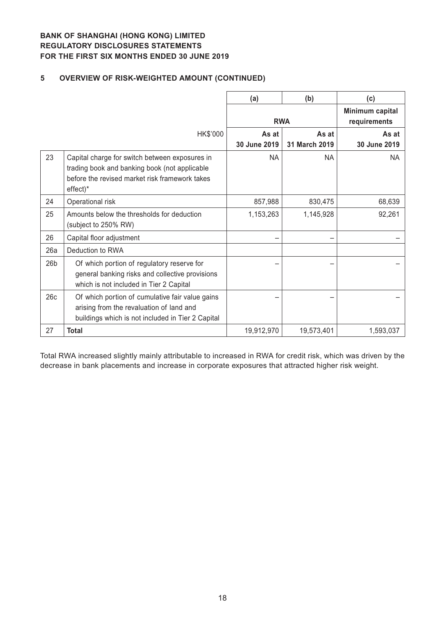# **5 OVERVIEW OF RISK-WEIGHTED AMOUNT (CONTINUED)**

|                 |                                                                                                                                                                 | (a)                   | (b)                    | (c)                             |
|-----------------|-----------------------------------------------------------------------------------------------------------------------------------------------------------------|-----------------------|------------------------|---------------------------------|
|                 |                                                                                                                                                                 | <b>RWA</b>            |                        | Minimum capital<br>requirements |
|                 | HK\$'000                                                                                                                                                        | As at<br>30 June 2019 | As at<br>31 March 2019 | As at<br>30 June 2019           |
| 23              | Capital charge for switch between exposures in<br>trading book and banking book (not applicable<br>before the revised market risk framework takes<br>$effect)*$ | <b>NA</b>             | <b>NA</b>              | <b>NA</b>                       |
| 24              | Operational risk                                                                                                                                                | 857,988               | 830,475                | 68,639                          |
| 25              | Amounts below the thresholds for deduction<br>(subject to 250% RW)                                                                                              | 1,153,263             | 1,145,928              | 92,261                          |
| 26              | Capital floor adjustment                                                                                                                                        |                       |                        |                                 |
| 26a             | Deduction to RWA                                                                                                                                                |                       |                        |                                 |
| 26 <sub>b</sub> | Of which portion of regulatory reserve for<br>general banking risks and collective provisions<br>which is not included in Tier 2 Capital                        |                       |                        |                                 |
| 26c             | Of which portion of cumulative fair value gains<br>arising from the revaluation of land and<br>buildings which is not included in Tier 2 Capital                |                       |                        |                                 |
| 27              | <b>Total</b>                                                                                                                                                    | 19,912,970            | 19,573,401             | 1,593,037                       |

Total RWA increased slightly mainly attributable to increased in RWA for credit risk, which was driven by the decrease in bank placements and increase in corporate exposures that attracted higher risk weight.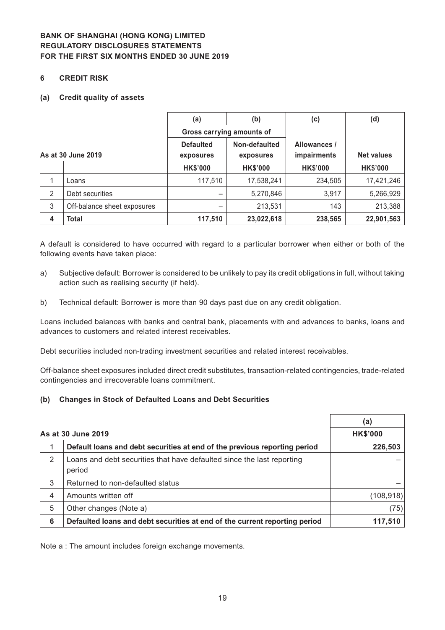#### **6 CREDIT RISK**

#### **(a) Credit quality of assets**

|              |                             | (a)                       | (b)             | (c)             | (d)               |
|--------------|-----------------------------|---------------------------|-----------------|-----------------|-------------------|
|              |                             | Gross carrying amounts of |                 |                 |                   |
|              |                             | <b>Defaulted</b>          | Non-defaulted   | Allowances /    |                   |
|              | As at 30 June 2019          | exposures                 | exposures       | impairments     | <b>Net values</b> |
|              |                             | <b>HK\$'000</b>           | <b>HK\$'000</b> | <b>HK\$'000</b> | <b>HK\$'000</b>   |
| 1            | Loans                       | 117,510                   | 17,538,241      | 234,505         | 17,421,246        |
| 2            | Debt securities             |                           | 5,270,846       | 3,917           | 5,266,929         |
| $\mathbf{3}$ | Off-balance sheet exposures |                           | 213,531         | 143             | 213,388           |
| 4            | <b>Total</b>                | 117,510                   | 23,022,618      | 238,565         | 22,901,563        |

A default is considered to have occurred with regard to a particular borrower when either or both of the following events have taken place:

- a) Subjective default: Borrower is considered to be unlikely to pay its credit obligations in full, without taking action such as realising security (if held).
- b) Technical default: Borrower is more than 90 days past due on any credit obligation.

Loans included balances with banks and central bank, placements with and advances to banks, loans and advances to customers and related interest receivables.

Debt securities included non-trading investment securities and related interest receivables.

Off-balance sheet exposures included direct credit substitutes, transaction-related contingencies, trade-related contingencies and irrecoverable loans commitment.

#### **(b) Changes in Stock of Defaulted Loans and Debt Securities**

|                    |                                                                                  | (a)             |
|--------------------|----------------------------------------------------------------------------------|-----------------|
| As at 30 June 2019 |                                                                                  | <b>HK\$'000</b> |
| 1                  | Default loans and debt securities at end of the previous reporting period        | 226,503         |
| 2                  | Loans and debt securities that have defaulted since the last reporting<br>period |                 |
| 3                  | Returned to non-defaulted status                                                 |                 |
| 4                  | Amounts written off                                                              | (108, 918)      |
| 5                  | Other changes (Note a)                                                           | (75)            |
| 6                  | Defaulted loans and debt securities at end of the current reporting period       | 117,510         |

Note a : The amount includes foreign exchange movements.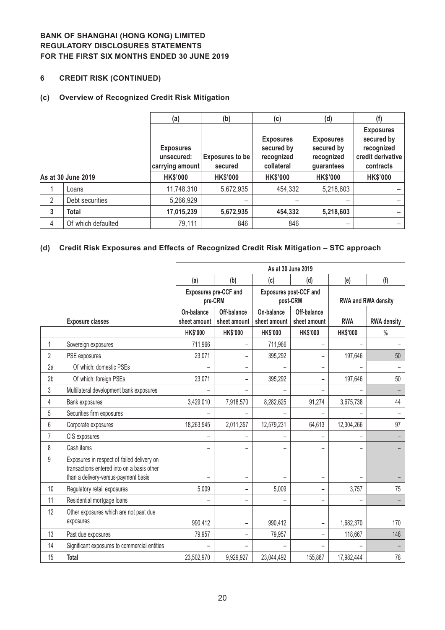## **6 CREDIT RISK (CONTINUED)**

#### **(c) Overview of Recognized Credit Risk Mitigation**

|                |                    | (a)                                               | (b)                               | (c)                                                        | (d)                                                        | (f)                                                                            |
|----------------|--------------------|---------------------------------------------------|-----------------------------------|------------------------------------------------------------|------------------------------------------------------------|--------------------------------------------------------------------------------|
|                |                    | <b>Exposures</b><br>unsecured:<br>carrying amount | <b>Exposures to be</b><br>secured | <b>Exposures</b><br>secured by<br>recognized<br>collateral | <b>Exposures</b><br>secured by<br>recognized<br>guarantees | <b>Exposures</b><br>secured by<br>recognized<br>credit derivative<br>contracts |
|                | As at 30 June 2019 | <b>HK\$'000</b>                                   | <b>HK\$'000</b>                   | <b>HK\$'000</b>                                            | <b>HK\$'000</b>                                            | <b>HK\$'000</b>                                                                |
|                | Loans              | 11,748,310                                        | 5,672,935                         | 454,332                                                    | 5,218,603                                                  |                                                                                |
| $\overline{2}$ | Debt securities    | 5,266,929                                         |                                   |                                                            |                                                            |                                                                                |
| $\mathbf{3}$   | <b>Total</b>       | 17,015,239                                        | 5,672,935                         | 454,332                                                    | 5,218,603                                                  |                                                                                |
| 4              | Of which defaulted | 79,111                                            | 846                               | 846                                                        | -                                                          |                                                                                |

# **(d) Credit Risk Exposures and Effects of Recognized Credit Risk Mitigation – STC approach**

|                |                                                                                                                                  | As at 30 June 2019         |                                  |                            |                                    |                     |                    |  |
|----------------|----------------------------------------------------------------------------------------------------------------------------------|----------------------------|----------------------------------|----------------------------|------------------------------------|---------------------|--------------------|--|
|                |                                                                                                                                  | (a)                        | (b)                              | (c)                        | (d)                                | (e)                 | (f)                |  |
|                |                                                                                                                                  |                            | Exposures pre-CCF and<br>pre-CRM |                            | Exposures post-CCF and<br>post-CRM | RWA and RWA density |                    |  |
|                | <b>Exposure classes</b>                                                                                                          | On-balance<br>sheet amount | Off-balance<br>sheet amount      | On-balance<br>sheet amount | Off-balance<br>sheet amount        | <b>RWA</b>          | <b>RWA density</b> |  |
|                |                                                                                                                                  | <b>HK\$'000</b>            | <b>HK\$'000</b>                  | <b>HK\$'000</b>            | <b>HK\$'000</b>                    | <b>HK\$'000</b>     | $\frac{0}{0}$      |  |
| 1              | Sovereign exposures                                                                                                              | 711,966                    | ÷                                | 711,966                    | L.                                 |                     |                    |  |
| 2              | PSE exposures                                                                                                                    | 23,071                     | $\overline{\phantom{0}}$         | 395,292                    | Ξ.                                 | 197,646             | 50                 |  |
| 2a             | Of which: domestic PSEs                                                                                                          |                            | -                                |                            | $\overline{\phantom{0}}$           |                     |                    |  |
| 2 <sub>b</sub> | Of which: foreign PSEs                                                                                                           | 23,071                     | -                                | 395,292                    | -                                  | 197,646             | 50                 |  |
| 3              | Multilateral development bank exposures                                                                                          |                            |                                  |                            |                                    |                     |                    |  |
| 4              | Bank exposures                                                                                                                   | 3,429,010                  | 7,918,570                        | 8,282,625                  | 91,274                             | 3,675,738           | 44                 |  |
| 5              | Securities firm exposures                                                                                                        |                            |                                  |                            |                                    |                     |                    |  |
| 6              | Corporate exposures                                                                                                              | 18,263,545                 | 2,011,357                        | 12,579,231                 | 64,613                             | 12,304,266          | 97                 |  |
| $\overline{7}$ | CIS exposures                                                                                                                    |                            |                                  |                            |                                    |                     |                    |  |
| 8              | Cash items                                                                                                                       | −                          | $\overline{\phantom{0}}$         | $\overline{\phantom{0}}$   |                                    |                     |                    |  |
| 9              | Exposures in respect of failed delivery on<br>transactions entered into on a basis other<br>than a delivery-versus-payment basis |                            |                                  |                            |                                    |                     |                    |  |
| 10             | Regulatory retail exposures                                                                                                      | 5,009                      | ÷,                               | 5,009                      | Ξ.                                 | 3,757               | 75                 |  |
| 11             | Residential mortgage loans                                                                                                       |                            | -                                |                            | -                                  |                     | -                  |  |
| 12             | Other exposures which are not past due<br>exposures                                                                              | 990,412                    |                                  | 990,412                    |                                    | 1,682,370           | 170                |  |
| 13             | Past due exposures                                                                                                               | 79,957                     |                                  | 79,957                     |                                    | 118,667             | 148                |  |
| 14             | Significant exposures to commercial entities                                                                                     |                            |                                  |                            |                                    |                     |                    |  |
| 15             | Total                                                                                                                            | 23,502,970                 | 9,929,927                        | 23,044,492                 | 155,887                            | 17,982,444          | 78                 |  |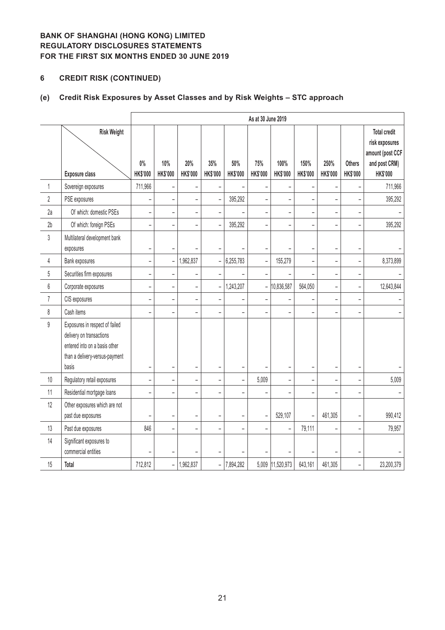# **6 CREDIT RISK (CONTINUED)**

# **(e) Credit Risk Exposures by Asset Classes and by Risk Weights – STC approach**

|                |                                                                                                                                        |                          | As at 30 June 2019           |                          |                          |                          |                          |                          |                         |                          |                                  |                                                                                               |
|----------------|----------------------------------------------------------------------------------------------------------------------------------------|--------------------------|------------------------------|--------------------------|--------------------------|--------------------------|--------------------------|--------------------------|-------------------------|--------------------------|----------------------------------|-----------------------------------------------------------------------------------------------|
|                | <b>Risk Weight</b><br><b>Exposure class</b>                                                                                            | $0\%$<br><b>HK\$'000</b> | 10%<br>HK\$'000              | 20%<br>HK\$'000          | 35%<br>HK\$'000          | 50%<br><b>HK\$'000</b>   | 75%<br><b>HK\$'000</b>   | 100%<br>HK\$'000         | 150%<br><b>HK\$'000</b> | 250%<br><b>HK\$'000</b>  | <b>Others</b><br><b>HK\$'000</b> | <b>Total credit</b><br>risk exposures<br>amount (post CCF<br>and post CRM)<br><b>HK\$'000</b> |
| 1              | Sovereign exposures                                                                                                                    | 711,966                  | $\overline{a}$               |                          |                          |                          | ÷                        |                          |                         |                          |                                  | 711,966                                                                                       |
| $\overline{2}$ | PSE exposures                                                                                                                          | -                        | $\qquad \qquad \blacksquare$ | $\overline{\phantom{0}}$ | $\overline{\phantom{0}}$ | 395,292                  | $\overline{\phantom{0}}$ | $\overline{\phantom{a}}$ | -                       | $\overline{\phantom{0}}$ |                                  | 395,292                                                                                       |
| 2a             | Of which: domestic PSEs                                                                                                                | $\overline{\phantom{0}}$ | $\overline{\phantom{a}}$     | $\overline{\phantom{a}}$ | $\overline{\phantom{0}}$ |                          | ÷,                       | $\overline{a}$           | L,                      |                          |                                  |                                                                                               |
| 2 <sub>b</sub> | Of which: foreign PSEs                                                                                                                 | $\overline{a}$           | $\overline{a}$               | $\overline{a}$           |                          | 395,292                  | -                        |                          | L,                      |                          |                                  | 395,292                                                                                       |
| 3              | Multilateral development bank<br>exposures                                                                                             | $\overline{a}$           | $\overline{\phantom{a}}$     |                          |                          |                          | $\overline{\phantom{0}}$ |                          | L,                      |                          | ۰                                |                                                                                               |
| 4              | Bank exposures                                                                                                                         | $\overline{a}$           | $\qquad \qquad -$            | 1,962,837                | $\overline{a}$           | 6,255,783                | ÷                        | 155,279                  | L,                      | $\overline{a}$           |                                  | 8,373,899                                                                                     |
| 5              | Securities firm exposures                                                                                                              | $\overline{\phantom{0}}$ | $\overline{a}$               | $\overline{\phantom{a}}$ |                          |                          | $\qquad \qquad -$        |                          | $\overline{a}$          | $\overline{a}$           | $\overline{\phantom{0}}$         |                                                                                               |
| 6              | Corporate exposures                                                                                                                    | $\overline{\phantom{0}}$ | $\overline{\phantom{a}}$     | $\overline{\phantom{a}}$ | $\bar{\phantom{a}}$      | 1,243,207                | $\qquad \qquad -$        | 10,836,587               | 564,050                 | $\overline{a}$           | ÷                                | 12,643,844                                                                                    |
| $\overline{7}$ | CIS exposures                                                                                                                          | -                        | $\overline{a}$               | $\overline{a}$           |                          |                          | $\overline{\phantom{0}}$ |                          |                         | L,                       |                                  |                                                                                               |
| 8              | Cash items                                                                                                                             | $\overline{\phantom{0}}$ | $\overline{a}$               | $\overline{\phantom{a}}$ | $\equiv$                 |                          | $\qquad \qquad -$        | ÷                        | $\overline{a}$          | L.                       |                                  |                                                                                               |
| $\mathsf g$    | Exposures in respect of failed<br>delivery on transactions<br>entered into on a basis other<br>than a delivery-versus-payment<br>basis | -                        | $\overline{\phantom{0}}$     | $\overline{\phantom{0}}$ | $\overline{\phantom{0}}$ |                          | $\overline{a}$           | -                        | -                       | $\overline{\phantom{0}}$ |                                  |                                                                                               |
| $10\,$         | Regulatory retail exposures                                                                                                            | $\overline{\phantom{0}}$ | $\overline{a}$               | $\overline{\phantom{a}}$ | $\overline{a}$           | $\overline{\phantom{0}}$ | 5,009                    | $\overline{a}$           | $\overline{a}$          |                          |                                  | 5,009                                                                                         |
| 11             | Residential mortgage loans                                                                                                             | $\overline{\phantom{0}}$ | L.                           | $\qquad \qquad -$        |                          |                          | L                        |                          | $\overline{a}$          | ÷                        |                                  |                                                                                               |
| 12             | Other exposures which are not<br>past due exposures                                                                                    | ÷                        | $\overline{a}$               | $\overline{\phantom{a}}$ |                          | $\overline{\phantom{0}}$ | $\overline{\phantom{a}}$ | 529,107                  | $\overline{a}$          | 461,305                  |                                  | 990,412                                                                                       |
| 13             | Past due exposures                                                                                                                     | 846                      | $\overline{a}$               | $\overline{\phantom{0}}$ |                          |                          | -                        |                          | 79,111                  |                          |                                  | 79,957                                                                                        |
| 14             | Significant exposures to<br>commercial entities                                                                                        |                          | ۰                            |                          |                          |                          |                          |                          |                         |                          |                                  |                                                                                               |
| 15             | <b>Total</b>                                                                                                                           | 712,812                  | $\equiv$                     | 1,962,837                | $\overline{\phantom{0}}$ | 7,894,282                |                          | 5,009 11,520,973         | 643,161                 | 461,305                  | ÷                                | 23,200,379                                                                                    |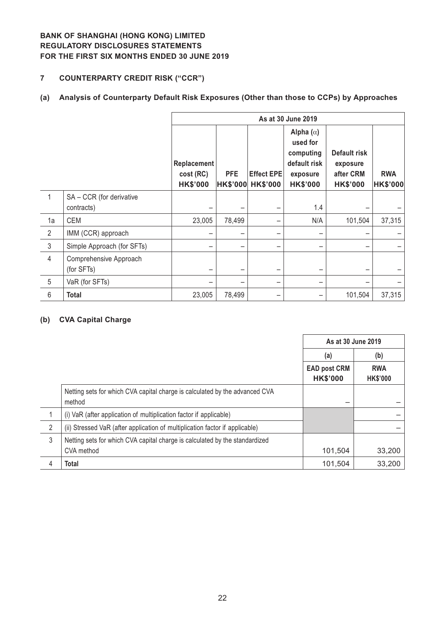# **7 COUNTERPARTY CREDIT RISK ("CCR")**

# **(a) Analysis of Counterparty Default Risk Exposures (Other than those to CCPs) by Approaches**

|                |                                        | As at 30 June 2019                                 |                               |                                      |                                                                                          |                                                          |                               |  |  |
|----------------|----------------------------------------|----------------------------------------------------|-------------------------------|--------------------------------------|------------------------------------------------------------------------------------------|----------------------------------------------------------|-------------------------------|--|--|
|                |                                        | <b>Replacement</b><br>cost (RC)<br><b>HK\$'000</b> | <b>PFE</b><br><b>HK\$'000</b> | <b>Effect EPE</b><br><b>HK\$'000</b> | Alpha $(\alpha)$<br>used for<br>computing<br>default risk<br>exposure<br><b>HK\$'000</b> | Default risk<br>exposure<br>after CRM<br><b>HK\$'000</b> | <b>RWA</b><br><b>HK\$'000</b> |  |  |
| 1              | SA - CCR (for derivative<br>contracts) |                                                    |                               |                                      | 1.4                                                                                      |                                                          |                               |  |  |
| 1a             | <b>CEM</b>                             | 23,005                                             | 78,499                        |                                      | N/A                                                                                      | 101,504                                                  | 37,315                        |  |  |
| $\overline{2}$ | IMM (CCR) approach                     |                                                    |                               |                                      |                                                                                          |                                                          |                               |  |  |
| $\mathfrak{Z}$ | Simple Approach (for SFTs)             |                                                    |                               |                                      |                                                                                          |                                                          |                               |  |  |
| $\overline{4}$ | Comprehensive Approach<br>(for SFTs)   |                                                    |                               |                                      |                                                                                          |                                                          |                               |  |  |
| 5              | VaR (for SFTs)                         |                                                    |                               |                                      |                                                                                          |                                                          |                               |  |  |
| 6              | <b>Total</b>                           | 23,005                                             | 78,499                        |                                      |                                                                                          | 101,504                                                  | 37,315                        |  |  |

#### **(b) CVA Capital Charge**

|   |                                                                                       | As at 30 June 2019                     |                               |
|---|---------------------------------------------------------------------------------------|----------------------------------------|-------------------------------|
|   |                                                                                       | (a)                                    | (b)                           |
|   |                                                                                       | <b>EAD post CRM</b><br><b>HK\$'000</b> | <b>RWA</b><br><b>HK\$'000</b> |
|   | Netting sets for which CVA capital charge is calculated by the advanced CVA<br>method |                                        |                               |
|   | (i) VaR (after application of multiplication factor if applicable)                    |                                        |                               |
| 2 | (ii) Stressed VaR (after application of multiplication factor if applicable)          |                                        |                               |
| 3 | Netting sets for which CVA capital charge is calculated by the standardized           |                                        |                               |
|   | CVA method                                                                            | 101,504                                | 33,200                        |
| 4 | <b>Total</b>                                                                          | 101,504                                | 33,200                        |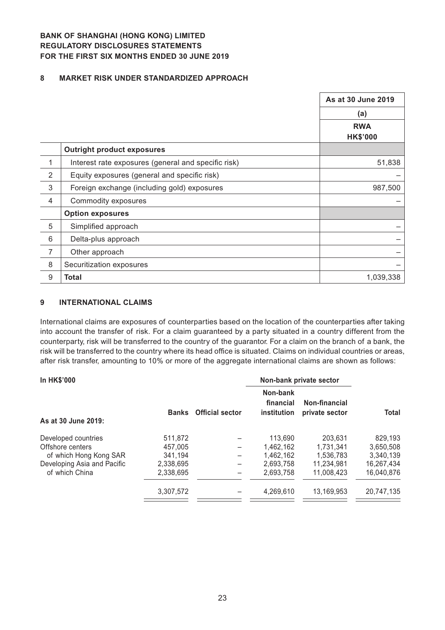#### **8 MARKET RISK UNDER STANDARDIZED APPROACH**

|                |                                                     | As at 30 June 2019 |
|----------------|-----------------------------------------------------|--------------------|
|                |                                                     | (a)                |
|                |                                                     | <b>RWA</b>         |
|                |                                                     | <b>HK\$'000</b>    |
|                | <b>Outright product exposures</b>                   |                    |
| 1              | Interest rate exposures (general and specific risk) | 51,838             |
| $\overline{2}$ | Equity exposures (general and specific risk)        |                    |
| 3              | Foreign exchange (including gold) exposures         | 987,500            |
| $\overline{4}$ | Commodity exposures                                 |                    |
|                | <b>Option exposures</b>                             |                    |
| 5              | Simplified approach                                 |                    |
| 6              | Delta-plus approach                                 |                    |
| $\overline{7}$ | Other approach                                      |                    |
| 8              | Securitization exposures                            |                    |
| $9\,$          | Total                                               | 1,039,338          |

#### **9 INTERNATIONAL CLAIMS**

International claims are exposures of counterparties based on the location of the counterparties after taking into account the transfer of risk. For a claim guaranteed by a party situated in a country different from the counterparty, risk will be transferred to the country of the guarantor. For a claim on the branch of a bank, the risk will be transferred to the country where its head office is situated. Claims on individual countries or areas, after risk transfer, amounting to 10% or more of the aggregate international claims are shown as follows:

| <b>In HK\$'000</b>          |              |                        | Non-bank private sector              |                                 |            |
|-----------------------------|--------------|------------------------|--------------------------------------|---------------------------------|------------|
| As at 30 June 2019:         | <b>Banks</b> | <b>Official sector</b> | Non-bank<br>financial<br>institution | Non-financial<br>private sector | Total      |
| Developed countries         | 511,872      |                        | 113,690                              | 203.631                         | 829,193    |
| Offshore centers            | 457.005      |                        | 1.462.162                            | 1.731.341                       | 3,650,508  |
| of which Hong Kong SAR      | 341,194      |                        | 1,462,162                            | 1,536,783                       | 3,340,139  |
| Developing Asia and Pacific | 2,338,695    |                        | 2,693,758                            | 11.234.981                      | 16,267,434 |
| of which China              | 2.338.695    |                        | 2.693.758                            | 11,008,423                      | 16,040,876 |
|                             | 3,307,572    |                        | 4.269.610                            | 13.169.953                      | 20,747,135 |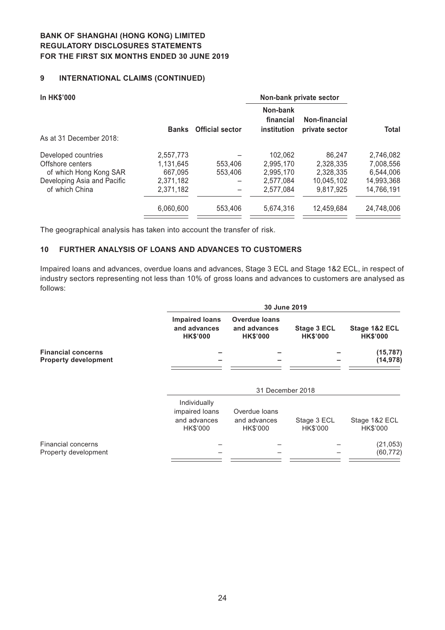## **9 INTERNATIONAL CLAIMS (CONTINUED)**

| <b>Banks</b> | <b>Official sector</b> | Non-bank<br>financial<br>institution | Non-financial | Total                                     |
|--------------|------------------------|--------------------------------------|---------------|-------------------------------------------|
|              |                        |                                      |               |                                           |
| 2,557,773    |                        | 102.062                              | 86.247        | 2,746,082                                 |
| 1.131.645    | 553,406                | 2.995.170                            | 2.328.335     | 7,008,556                                 |
| 667,095      | 553,406                | 2,995,170                            | 2,328,335     | 6.544.006                                 |
| 2,371,182    |                        | 2.577.084                            | 10.045.102    | 14,993,368                                |
| 2,371,182    |                        | 2.577.084                            | 9,817,925     | 14,766,191                                |
| 6,060,600    | 553,406                | 5,674,316                            | 12.459.684    | 24,748,006                                |
|              |                        |                                      |               | Non-bank private sector<br>private sector |

The geographical analysis has taken into account the transfer of risk.

#### **10 FURTHER ANALYSIS OF LOANS AND ADVANCES TO CUSTOMERS**

Impaired loans and advances, overdue loans and advances, Stage 3 ECL and Stage 1&2 ECL, in respect of industry sectors representing not less than 10% of gross loans and advances to customers are analysed as follows:

|                                                          |                                                            | 30 June 2019                                            |                                |                                  |  |
|----------------------------------------------------------|------------------------------------------------------------|---------------------------------------------------------|--------------------------------|----------------------------------|--|
|                                                          | <b>Impaired loans</b><br>and advances<br><b>HK\$'000</b>   | <b>Overdue loans</b><br>and advances<br><b>HK\$'000</b> | Stage 3 ECL<br><b>HK\$'000</b> | Stage 1&2 ECL<br><b>HK\$'000</b> |  |
| <b>Financial concerns</b><br><b>Property development</b> |                                                            |                                                         |                                | (15, 787)<br>(14, 978)           |  |
|                                                          |                                                            | 31 December 2018                                        |                                |                                  |  |
|                                                          | Individually<br>impaired loans<br>and advances<br>HK\$'000 | Overdue loans<br>and advances<br>HK\$'000               | Stage 3 ECL<br>HK\$'000        | Stage 1&2 ECL<br>HK\$'000        |  |
| <b>Financial concerns</b><br>Property development        |                                                            |                                                         |                                | (21, 053)<br>(60, 772)           |  |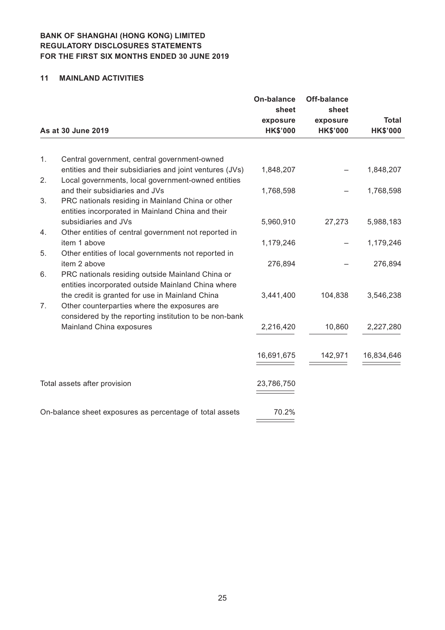#### **11 MAINLAND ACTIVITIES**

|    |                                                                                                                | <b>On-balance</b><br>sheet  | <b>Off-balance</b><br>sheet | <b>Total</b>    |
|----|----------------------------------------------------------------------------------------------------------------|-----------------------------|-----------------------------|-----------------|
|    | As at 30 June 2019                                                                                             | exposure<br><b>HK\$'000</b> | exposure<br><b>HK\$'000</b> | <b>HK\$'000</b> |
|    |                                                                                                                |                             |                             |                 |
| 1. | Central government, central government-owned                                                                   |                             |                             |                 |
| 2. | entities and their subsidiaries and joint ventures (JVs)<br>Local governments, local government-owned entities | 1,848,207                   |                             | 1,848,207       |
|    | and their subsidiaries and JVs                                                                                 | 1,768,598                   |                             | 1,768,598       |
| 3. | PRC nationals residing in Mainland China or other                                                              |                             |                             |                 |
|    | entities incorporated in Mainland China and their                                                              |                             |                             |                 |
|    | subsidiaries and JVs                                                                                           | 5,960,910                   | 27,273                      | 5,988,183       |
| 4. | Other entities of central government not reported in                                                           |                             |                             |                 |
| 5. | item 1 above<br>Other entities of local governments not reported in                                            | 1,179,246                   |                             | 1,179,246       |
|    | item 2 above                                                                                                   | 276,894                     |                             | 276,894         |
| 6. | PRC nationals residing outside Mainland China or                                                               |                             |                             |                 |
|    | entities incorporated outside Mainland China where                                                             |                             |                             |                 |
|    | the credit is granted for use in Mainland China                                                                | 3,441,400                   | 104,838                     | 3,546,238       |
| 7. | Other counterparties where the exposures are                                                                   |                             |                             |                 |
|    | considered by the reporting institution to be non-bank                                                         |                             |                             |                 |
|    | Mainland China exposures                                                                                       | 2,216,420                   | 10,860                      | 2,227,280       |
|    |                                                                                                                |                             |                             |                 |
|    |                                                                                                                | 16,691,675                  | 142,971                     | 16,834,646      |
|    | Total assets after provision                                                                                   | 23,786,750                  |                             |                 |
|    |                                                                                                                |                             |                             |                 |
|    | On-balance sheet exposures as percentage of total assets                                                       | 70.2%                       |                             |                 |
|    |                                                                                                                |                             |                             |                 |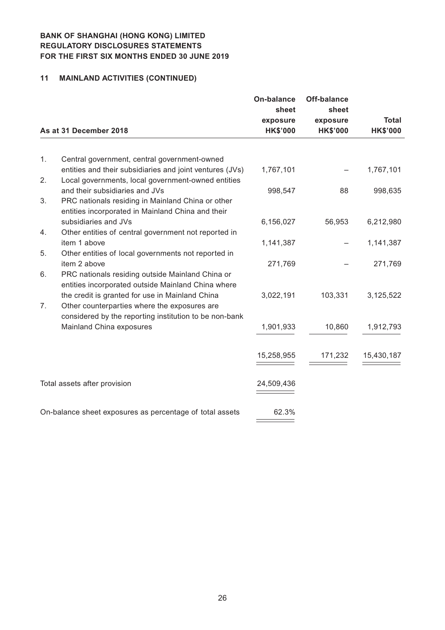# **11 MAINLAND ACTIVITIES (CONTINUED)**

|    |                                                                           | <b>On-balance</b><br>sheet | <b>Off-balance</b><br>sheet |                 |
|----|---------------------------------------------------------------------------|----------------------------|-----------------------------|-----------------|
|    |                                                                           | exposure                   | exposure                    | <b>Total</b>    |
|    | As at 31 December 2018                                                    | <b>HK\$'000</b>            | <b>HK\$'000</b>             | <b>HK\$'000</b> |
|    |                                                                           |                            |                             |                 |
| 1. | Central government, central government-owned                              |                            |                             |                 |
|    | entities and their subsidiaries and joint ventures (JVs)                  | 1,767,101                  |                             | 1,767,101       |
| 2. | Local governments, local government-owned entities                        |                            |                             |                 |
|    | and their subsidiaries and JVs                                            | 998,547                    | 88                          | 998,635         |
| 3. | PRC nationals residing in Mainland China or other                         |                            |                             |                 |
|    | entities incorporated in Mainland China and their<br>subsidiaries and JVs | 6,156,027                  | 56,953                      | 6,212,980       |
| 4. | Other entities of central government not reported in                      |                            |                             |                 |
|    | item 1 above                                                              | 1,141,387                  |                             | 1,141,387       |
| 5. | Other entities of local governments not reported in                       |                            |                             |                 |
|    | item 2 above                                                              | 271,769                    |                             | 271,769         |
| 6. | PRC nationals residing outside Mainland China or                          |                            |                             |                 |
|    | entities incorporated outside Mainland China where                        |                            |                             |                 |
|    | the credit is granted for use in Mainland China                           | 3,022,191                  | 103,331                     | 3,125,522       |
| 7. | Other counterparties where the exposures are                              |                            |                             |                 |
|    | considered by the reporting institution to be non-bank                    |                            |                             |                 |
|    | Mainland China exposures                                                  | 1,901,933                  | 10,860                      | 1,912,793       |
|    |                                                                           |                            |                             |                 |
|    |                                                                           |                            |                             |                 |
|    |                                                                           | 15,258,955                 | 171,232                     | 15,430,187      |
|    |                                                                           |                            |                             |                 |
|    | Total assets after provision                                              | 24,509,436                 |                             |                 |
|    |                                                                           |                            |                             |                 |
|    | On-balance sheet exposures as percentage of total assets                  | 62.3%                      |                             |                 |
|    |                                                                           |                            |                             |                 |